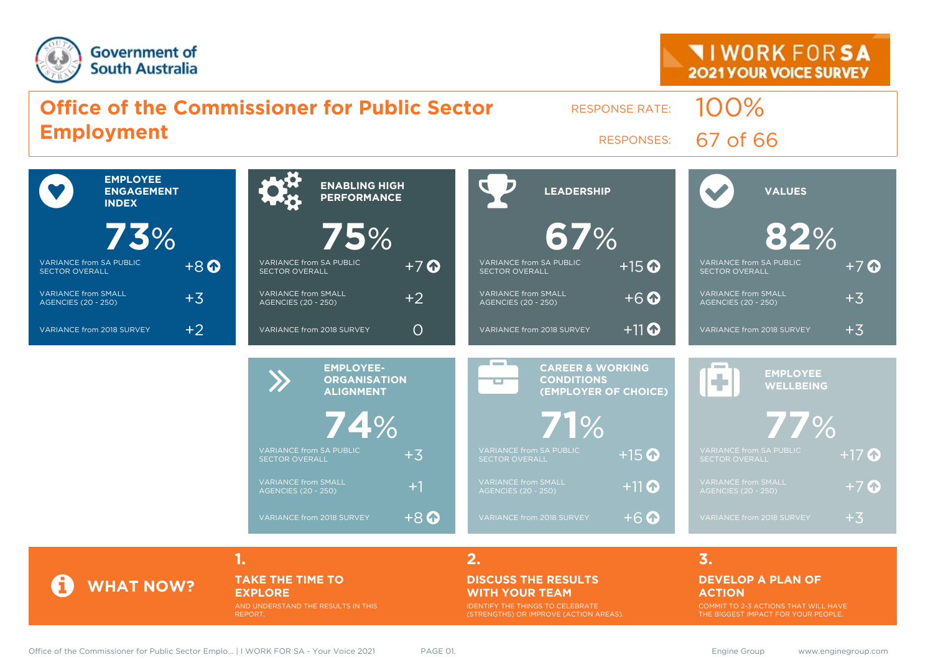



#### AND UNDERSTAND THE RESULTS IN THIS REPORT.

## **WITH YOUR TEAM**

IDENTIFY THE THINGS TO CELEBRATE (STRENGTHS) OR IMPROVE (ACTION AREAS). COMMIT TO 2-3 ACTIONS THAT WILL HAVE THE BIGGEST IMPACT FOR YOUR PEOPLE.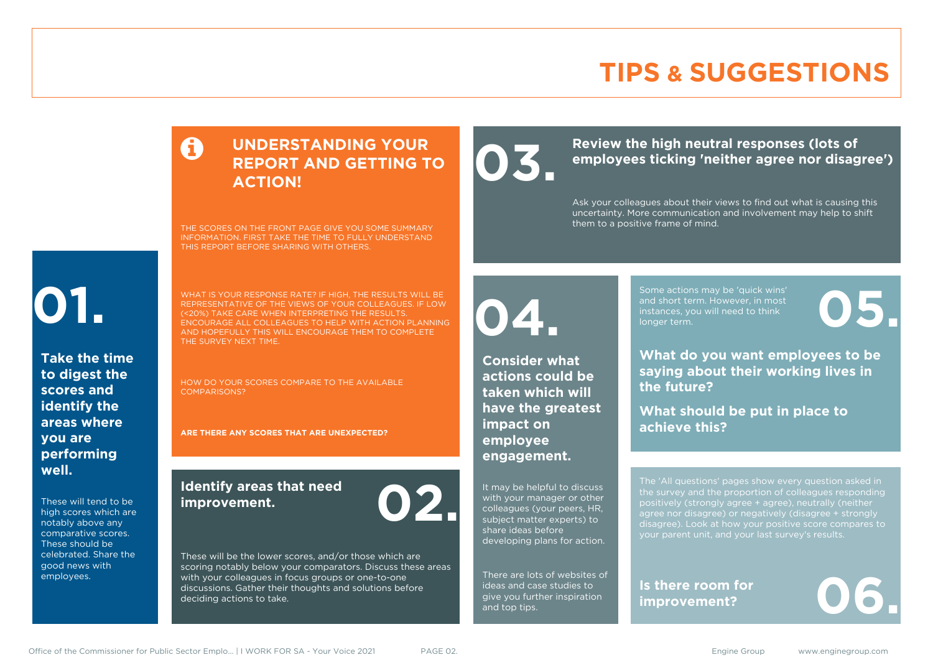### **TIPS & SUGGESTIONS**

### **UNDERSTANDING YOUR REPORT AND GETTING TO ACTION!**

THE SCORES ON THE FRONT PAGE GIVE YOU SOME SUMMARY INFORMATION. FIRST TAKE THE TIME TO FULLY UNDERSTAND THIS REPORT BEFORE SHARING WITH OTHERS.

# **01.**

**Take the time to digest the scores and identify the areas where you are performing well.**

These will tend to be high scores which are notably above any comparative scores. These should be celebrated. Share the good news with employees.

WHAT IS YOUR RESPONSE RATE? IF HIGH, THE RESULTS WILL BE REPRESENTATIVE OF THE VIEWS OF YOUR COLLEAGUES. IF LOW (<20%) TAKE CARE WHEN INTERPRETING THE RESULTS. ENCOURAGE ALL COLLEAGUES TO HELP WITH ACTION PLANNING AND HOPEFULLY THIS WILL ENCOURAGE THEM TO COMPLETE THE SURVEY NEXT TIME.

HOW DO YOUR SCORES COMPARE TO THE AVAILABLE COMPARISONS?

**ARE THERE ANY SCORES THAT ARE UNEXPECTED?**

### **Identify areas that need improvement. 02.**

These will be the lower scores, and/or those which are scoring notably below your comparators. Discuss these areas with your colleagues in focus groups or one-to-one discussions. Gather their thoughts and solutions before deciding actions to take.

**04.**

**impact on employee engagement.**

**Consider what actions could be taken which will have the greatest** 

It may be helpful to discuss with your manager or other colleagues (your peers, HR, subject matter experts) to share ideas before

developing plans for action.

There are lots of websites of ideas and case studies to give you further inspiration

and top tips.

Review the high neutral responses (lots of employees ticking 'neither agree nor disag **employees ticking 'neither agree nor disagree')**

> Ask your colleagues about their views to find out what is causing this uncertainty. More communication and involvement may help to shift them to a positive frame of mind.

> > Some actions may be 'quick wins' and short term. However, in most instances, you will need to think Some actions may be 'quick wins'<br>and short term. However, in most<br>instances, you will need to think<br>longer term.

**What do you want employees to be saying about their working lives in the future?**

**What should be put in place to achieve this?**

The 'All questions' pages show every question asked in positively (strongly agree + agree), neutrally (neither agree nor disagree) or negatively (disagree + strongly disagree). Look at how your positive score compares to your parent unit, and your last survey's results.

**Is there room for**  Is there room for<br>improvement?

Office of the Commissioner for Public Sector Emplo... | I WORK FOR SA - Your Voice 2021 PAGE 02. Engine Group www.enginegroup.com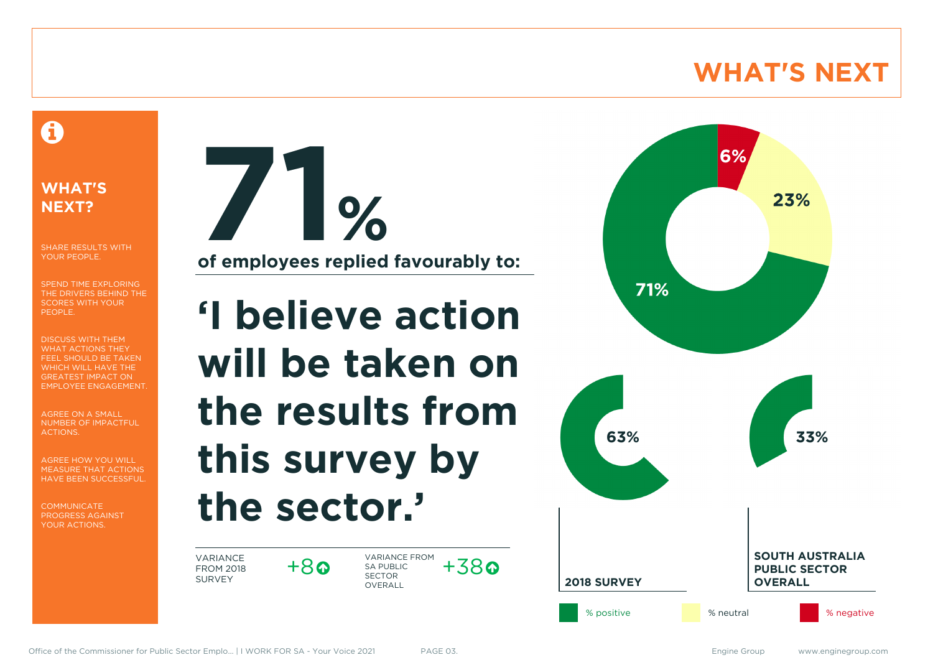### **WHAT'S NEXT**

### A

### **WHAT'S NEXT?**

SHARE RESULTS WITH YOUR PEOPLE.

SPEND TIME EXPLORING THE DRIVERS BEHIND THE SCORES WITH YOUR PEOPLE.

DISCUSS WITH THEM WHAT ACTIONS THEY FEEL SHOULD BE TAKEN WHICH WILL HAVE THE GREATEST IMPACT ON EMPLOYEE ENGAGEMENT.

AGREE ON A SMALL NUMBER OF IMPACTFUL ACTIONS.

AGREE HOW YOU WILL MEASURE THAT ACTIONS HAVE BEEN SUCCESSFUL.

**COMMUNICATE** PROGRESS AGAINST YOUR ACTIONS.

**71% of employees replied favourably to:**

# **'I believe action will be taken on the results from this survey by the sector.'**

VARIANCE FROM 2018 SURVEY

 $+8$ 

VARIANCE FROM SA PUBLIC SECTOR **OVERALL**  $+38$ 

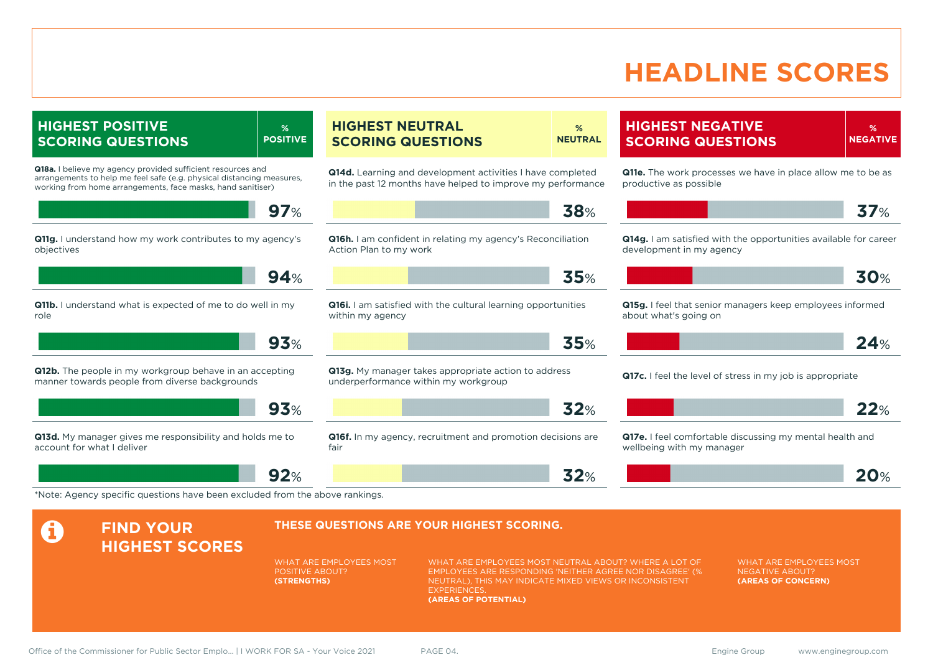### **HEADLINE SCORES**

**HIGHEST POSITIVE SCORING QUESTIONS % POSITIVE Q18a.** I believe my agency provided sufficient resources and arrangements to help me feel safe (e.g. physical distancing measures, working from home arrangements, face masks, hand sanitiser) **97**% **Q11g.** I understand how my work contributes to my agency's objectives **94**% **Q11b.** I understand what is expected of me to do well in my role **93**% **Q12b.** The people in my workgroup behave in an accepting manner towards people from diverse backgrounds **93**% **Q13d.** My manager gives me responsibility and holds me to account for what I deliver **92**% **HIGHEST NEUTRAL SCORING QUESTIONS % NEUTRAL Q14d.** Learning and development activities I have completed in the past 12 months have helped to improve my performance **38**% **Q16h.** I am confident in relating my agency's Reconciliation Action Plan to my work **35**% **Q16i.** I am satisfied with the cultural learning opportunities within my agency **35**% **Q13g.** My manager takes appropriate action to address underperformance within my workgroup **32**% **Q16f.** In my agency, recruitment and promotion decisions are fair **32**% \*Note: Agency specific questions have been excluded from the above rankings.

### **HIGHEST NEGATIVE SCORING QUESTIONS**

**Q11e.** The work processes we have in place allow me to be as productive as possible

**% NEGATIVE**

$$
\blacksquare
$$
 37%

**Q14g.** I am satisfied with the opportunities available for career development in my agency

**Q15g.** I feel that senior managers keep employees informed about what's going on

$$
\begin{array}{|c|c|c|c|c|c|c|c|c|}\n\hline\n & & 24\n\end{array}
$$

**Q17c.** I feel the level of stress in my job is appropriate

| <u>— т</u> |  |
|------------|--|
|------------|--|

**Q17e.** I feel comfortable discussing my mental health and wellbeing with my manager

|  | 20% |
|--|-----|
|  |     |

#### **A** FIND YOUR **HIGHEST SCORES THESE QUESTIONS ARE YOUR HIGHEST SCORING.** WHAT ARE EMPLOYEES MOST POSITIVE ABOUT? **(STRENGTHS)** WHAT ARE EMPLOYEES MOST NEUTRAL ABOUT? WHERE A LOT OF EMPLOYEES ARE RESPONDING 'NEITHER AGREE NOR DISAGREE' (% NEUTRAL), THIS MAY INDICATE MIXED VIEWS OR INCONSISTENT **EXPERIENCES (AREAS OF POTENTIAL)** WHAT ARE EMPLOYEES MOST NEGATIVE ABOUT? **(AREAS OF CONCERN)**

Office of the Commissioner for Public Sector Emplo... | I WORK FOR SA - Your Voice 2021 PAGE 04. 
<br>
PAGE 04.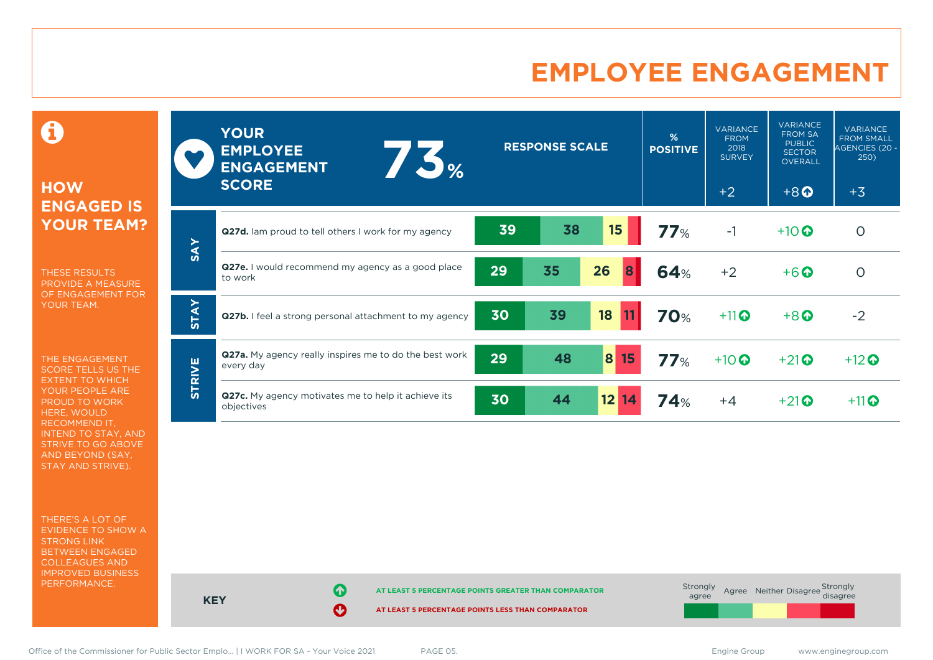### **EMPLOYEE ENGAGEMENT**

0

### **HOW ENGAGED IS YOUR TEAM?**

THESE RESULTS PROVIDE A MEASURE OF ENGAGEMENT FOR YOUR TEAM.

THE ENGAGEMENT SCORE TELLS US THE EXTENT TO WHICH YOUR PEOPLE ARE PROUD TO WORK HERE, WOULD RECOMMEND IT, INTEND TO STAY, AND STRIVE TO GO ABOVE AND BEYOND (SAY, STAY AND STRIVE).

THERE'S A LOT OF EVIDENCE TO SHOW A STRONG LINK BETWEEN ENGAGED COLLEAGUES AND IMPROVED BUSINESS PERFORMANCE.

|               | <b>YOUR</b><br><b>EMPLOYEE</b><br>1.5%<br><b>ENGAGEMENT</b><br><b>SCORE</b> | <b>RESPONSE SCALE</b> |    |          | %<br><b>POSITIVE</b> | <b>VARIANCE</b><br><b>FROM</b><br>2018<br><b>SURVEY</b><br>$+2$ | <b>VARIANCE</b><br><b>FROM SA</b><br><b>PUBLIC</b><br><b>SECTOR</b><br><b>OVERALL</b><br>$+8$ <sup><math>\odot</math></sup> | <b>VARIANCE</b><br><b>FROM SMALL</b><br>AGENCIES (20 -<br>250)<br>$+3$ |
|---------------|-----------------------------------------------------------------------------|-----------------------|----|----------|----------------------|-----------------------------------------------------------------|-----------------------------------------------------------------------------------------------------------------------------|------------------------------------------------------------------------|
|               | Q27d. lam proud to tell others I work for my agency                         | 39                    | 38 | 15       | 77%                  | $-1$                                                            | $+10$ $\odot$                                                                                                               | $\circ$                                                                |
| <b>SAY</b>    | Q27e. I would recommend my agency as a good place<br>to work                | 29                    | 35 | 26<br>8  | <b>64%</b>           | $+2$                                                            | $+6$ $\odot$                                                                                                                | $\circ$                                                                |
| <b>STAY</b>   | Q27b. I feel a strong personal attachment to my agency                      | 30                    | 39 | 18       | <b>70%</b>           | $+11$                                                           | $+8$ <sup><math>\odot</math></sup>                                                                                          | $-2$                                                                   |
| <b>STRIVE</b> | <b>Q27a.</b> My agency really inspires me to do the best work<br>every day  | 29                    | 48 | 8 <br>15 | 77%                  | $+10$ <sup>O</sup>                                              | $+21$ <sup>O</sup>                                                                                                          | $+12$                                                                  |
|               | Q27c. My agency motivates me to help it achieve its<br>objectives           | 30                    | 44 | $12$ 14  | 74%                  | $+4$                                                            | $+21$ <sup><math>\odot</math></sup>                                                                                         | $+11$                                                                  |



Office of the Commissioner for Public Sector Emplo... | I WORK FOR SA - Your Voice 2021 PAGE 05. The Same Commissioner for Public Sector Emplo... | I WORK FOR SA - Your Voice 2021 PAGE 05.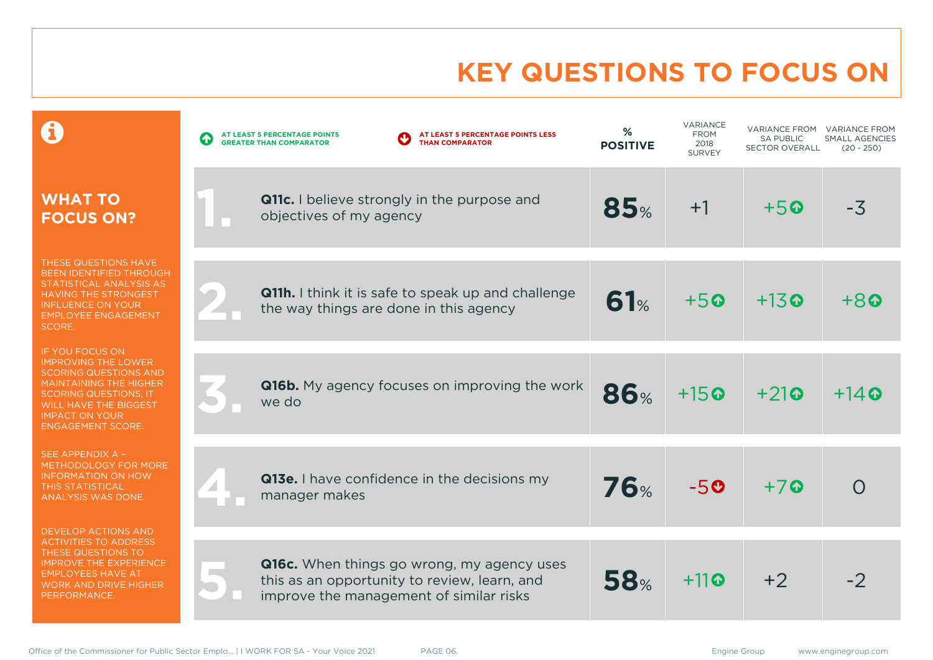# **KEY QUESTIONS TO FOCUS ON**

|                                                                                                                                                                                                                                            | AT LEAST 5 PERCENTAGE POINTS LESS<br>AT LEAST 5 PERCENTAGE POINTS<br>$\bullet$<br><b>THAN COMPARATOR</b><br><b>GREATER THAN COMPARATOR</b>   | %<br><b>POSITIVE</b> | <b>VARIANCE</b><br><b>FROM</b><br>2018<br><b>SURVEY</b> | <b>VARIANCE FROM</b><br><b>SA PUBLIC</b><br><b>SECTOR OVERALL</b> | <b>VARIANCE FROM</b><br>SMALL AGENCIES<br>$(20 - 250)$ |
|--------------------------------------------------------------------------------------------------------------------------------------------------------------------------------------------------------------------------------------------|----------------------------------------------------------------------------------------------------------------------------------------------|----------------------|---------------------------------------------------------|-------------------------------------------------------------------|--------------------------------------------------------|
| <b>WHAT TO</b><br><b>FOCUS ON?</b>                                                                                                                                                                                                         | <b>Q11c.</b> I believe strongly in the purpose and<br>objectives of my agency                                                                | 85%                  | $+1$                                                    | $+5$ $\odot$                                                      | $-3$                                                   |
| THESE QUESTIONS HAVE<br><b>BEEN IDENTIFIED THROUGH</b><br>STATISTICAL ANALYSIS AS<br><b>HAVING THE STRONGEST</b><br><b>INFLUENCE ON YOUR</b><br><b>EMPLOYEE ENGAGEMENT</b><br>SCORE.                                                       | Q11h. I think it is safe to speak up and challenge<br>the way things are done in this agency                                                 | 61%                  | $+50$                                                   | $+13$ <sup><math>\odot</math></sup>                               | $+8$                                                   |
| <b>IF YOU FOCUS ON</b><br><b>IMPROVING THE LOWER</b><br><b>SCORING QUESTIONS AND</b><br><b>MAINTAINING THE HIGHER</b><br><b>SCORING QUESTIONS, IT</b><br><b>WILL HAVE THE BIGGEST</b><br><b>IMPACT ON YOUR</b><br><b>ENGAGEMENT SCORE.</b> | <b>Q16b.</b> My agency focuses on improving the work<br>we do                                                                                | <b>86%</b>           | $+15$ <sup><math>\odot</math></sup>                     | $+21$                                                             | $+14$ Q                                                |
| SEE APPENDIX A -<br>METHODOLOGY FOR MORE<br><b>INFORMATION ON HOW</b><br><b>THIS STATISTICAL</b><br>ANALYSIS WAS DONE.                                                                                                                     | Q13e. I have confidence in the decisions my<br>manager makes                                                                                 | <b>76%</b>           | $-50$                                                   | $+7$                                                              | $\left( \begin{array}{c} 1 \end{array} \right)$        |
| DEVELOP ACTIONS AND<br><b>ACTIVITIES TO ADDRESS</b><br>THESE QUESTIONS TO<br><b>IMPROVE THE EXPERIENCE</b><br><b>EMPLOYEES HAVE AT</b><br><b>WORK AND DRIVE HIGHER</b><br>PERFORMANCE.                                                     | <b>Q16c.</b> When things go wrong, my agency uses<br>this as an opportunity to review, learn, and<br>improve the management of similar risks | <b>58%</b>           | $+11$                                                   | $+2$                                                              | -2                                                     |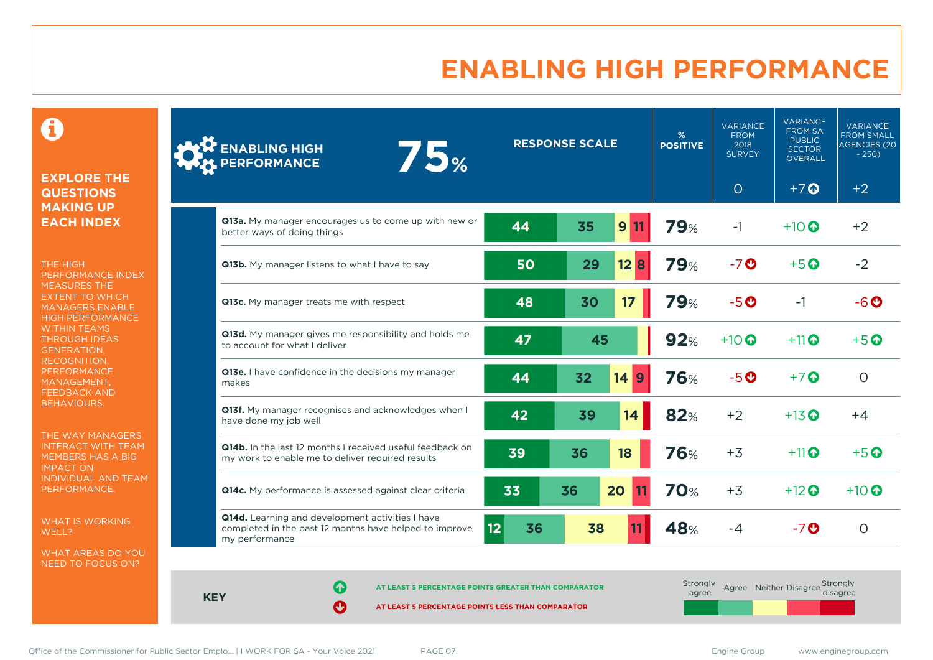### **ENABLING HIGH PERFORMANCE**

 $\mathbf \Theta$ 

#### **EXPLORE THE QUESTIONS MAKING UP EACH INDEX**

THE HIGH PERFORMANCE INDEX MEASURES THE EXTENT TO WHICH MANAGERS ENABLE HIGH PERFORMANCE WITHIN TEAMS THROUGH IDEAS GENERATION, RECOGNITION, **PERFORMANCE** MANAGEMENT, FEEDBACK AND BEHAVIOURS.

THE WAY MANAGERS INTERACT WITH TEAM MEMBERS HAS A BIG IMPACT ON INDIVIDUAL AND TEAM PERFORMANCE.

WHAT IS WORKING WELL?

WHAT AREAS DO YOU NEED TO FOCUS ON?

| ENABLING HIGH<br>PERFORMANCE<br><b>75%</b>                                                                                   |                    | <b>RESPONSE SCALE</b> |      | %<br><b>POSITIVE</b> | <b>VARIANCE</b><br><b>FROM</b><br>2018<br><b>SURVEY</b> | <b>VARIANCE</b><br><b>FROM SA</b><br><b>PUBLIC</b><br><b>SECTOR</b><br>OVERALL | <b>VARIANCE</b><br><b>FROM SMALL</b><br><b>AGENCIES (20</b><br>$-250$ |
|------------------------------------------------------------------------------------------------------------------------------|--------------------|-----------------------|------|----------------------|---------------------------------------------------------|--------------------------------------------------------------------------------|-----------------------------------------------------------------------|
|                                                                                                                              |                    |                       |      |                      | $\circ$                                                 | $+7$ $\Omega$                                                                  | $+2$                                                                  |
| Q13a. My manager encourages us to come up with new or<br>better ways of doing things                                         | 44                 | 35                    | 9 11 | <b>79%</b>           | $-1$                                                    | $+10$ $\odot$                                                                  | $+2$                                                                  |
| Q13b. My manager listens to what I have to say                                                                               | 50                 | 29                    | 12B  | <b>79%</b>           | $-7o$                                                   | $+5$ <sup><math>\odot</math></sup>                                             | $-2$                                                                  |
| Q13c. My manager treats me with respect                                                                                      | 48                 | 30                    | 17   | 79%                  | $-5o$                                                   | $-1$                                                                           | $-6o$                                                                 |
| Q13d. My manager gives me responsibility and holds me<br>to account for what I deliver                                       | 47                 | 45                    |      | 92%                  | $+10$ <sup>O</sup>                                      | $+11$ $\odot$                                                                  | $+5$ <sup><math>\odot</math></sup>                                    |
| Q13e. I have confidence in the decisions my manager<br>makes                                                                 | 44                 | 32<br>14              | 9    | <b>76%</b>           | $-5o$                                                   | $+7$ $\odot$                                                                   | $\circ$                                                               |
| Q13f. My manager recognises and acknowledges when I<br>have done my job well                                                 | 42                 | 39                    | 14   | 82%                  | $+2$                                                    | $+13$ <sup>O</sup>                                                             | $+4$                                                                  |
| Q14b. In the last 12 months I received useful feedback on<br>my work to enable me to deliver required results                | 39                 | 36                    | 18   | <b>76%</b>           | $+3$                                                    | $+11$ $\odot$                                                                  | $+5$ <sup>O</sup>                                                     |
| Q14c. My performance is assessed against clear criteria                                                                      | 33                 | 20<br>36              |      | <b>70%</b>           | $+3$                                                    | $+12$ <sup>O</sup>                                                             | $+10$ $\odot$                                                         |
| Q14d. Learning and development activities I have<br>completed in the past 12 months have helped to improve<br>my performance | $ 12\rangle$<br>36 | 38                    |      | 48%                  | $-4$                                                    | $-7$ $\odot$                                                                   | $\circ$                                                               |

**AT LEAST 5 PERCENTAGE POINTS GREATER THAN COMPARATOR** 

**AT LEAST 5 PERCENTAGE POINTS LESS THAN COMPARATOR** 

| Strongly<br>agree |  | Agree Neither Disagree Strongly<br>disagree |
|-------------------|--|---------------------------------------------|
|                   |  |                                             |

**KEY**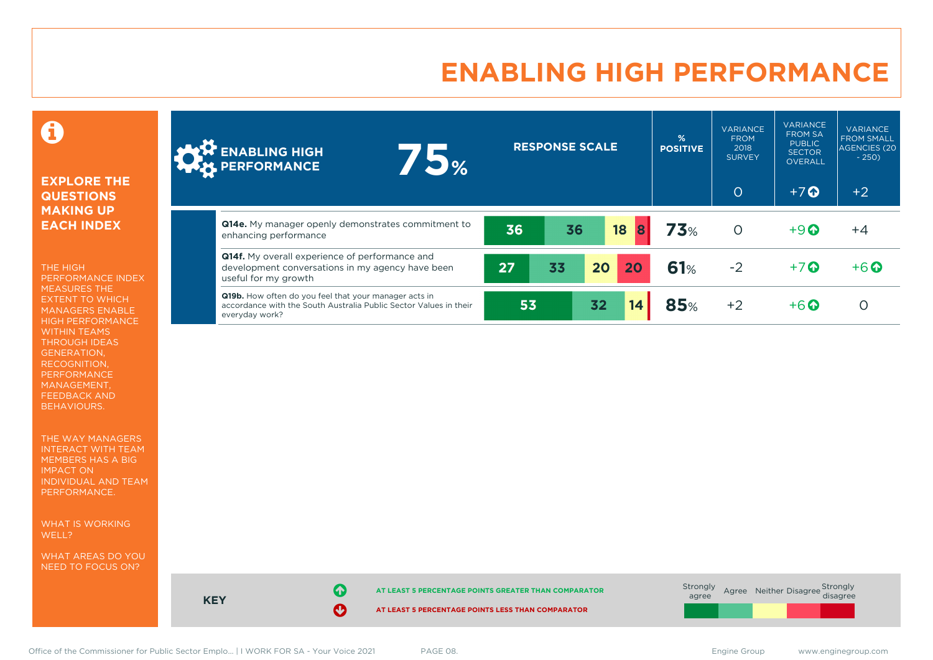### **ENABLING HIGH PERFORMANCE**

Ô

#### **EXPLORE THE QUESTIONS MAKING UP EACH INDEX**

THE HIGH PERFORMANCE INDEX MEASURES THE EXTENT TO WHICH MANAGERS ENABLE HIGH PERFORMANCE WITHIN TEAMS THROUGH IDEAS GENERATION, RECOGNITION, PERFORMANCE MANAGEMENT, FEEDBACK AND BEHAVIOURS.

THE WAY MANAGERS INTERACT WITH TEAM MEMBERS HAS A BIG IMPACT ON INDIVIDUAL AND TEAM PERFORMANCE.

WHAT IS WORKING WELL?

WHAT AREAS DO YOU NEED TO FOCUS ON?

| <b>ALLA</b> ENABLING HIGH<br>PERFORMANCE                                                                                                            | <b>75%</b> |    | <b>RESPONSE SCALE</b> |    |         | %<br><b>POSITIVE</b> | <b>VARIANCE</b><br><b>FROM</b><br>2018<br><b>SURVEY</b><br>$\circ$ | <b>VARIANCE</b><br><b>FROM SA</b><br><b>PUBLIC</b><br><b>SECTOR</b><br><b>OVERALL</b><br>$+7$ $\Omega$ | <b>VARIANCE</b><br><b>FROM SMALL</b><br><b>AGENCIES (20)</b><br>$-250$<br>$+2$ |
|-----------------------------------------------------------------------------------------------------------------------------------------------------|------------|----|-----------------------|----|---------|----------------------|--------------------------------------------------------------------|--------------------------------------------------------------------------------------------------------|--------------------------------------------------------------------------------|
|                                                                                                                                                     |            |    |                       |    |         |                      |                                                                    |                                                                                                        |                                                                                |
| Q14e. My manager openly demonstrates commitment to<br>enhancing performance                                                                         |            | 36 | 36                    |    | 18<br>8 | 73%                  | $\circ$                                                            | $+9$ $\odot$                                                                                           | $+4$                                                                           |
| <b>Q14f.</b> My overall experience of performance and<br>development conversations in my agency have been<br>useful for my growth                   |            | 27 | 33                    | 20 | 20      | 61%                  | $-2$                                                               | $+7$ $\odot$                                                                                           | $+6$ $\odot$                                                                   |
| <b>Q19b.</b> How often do you feel that your manager acts in<br>accordance with the South Australia Public Sector Values in their<br>everyday work? |            | 53 |                       | 32 | 14      | <b>85%</b>           | $+2$                                                               | $+6\Omega$                                                                                             |                                                                                |

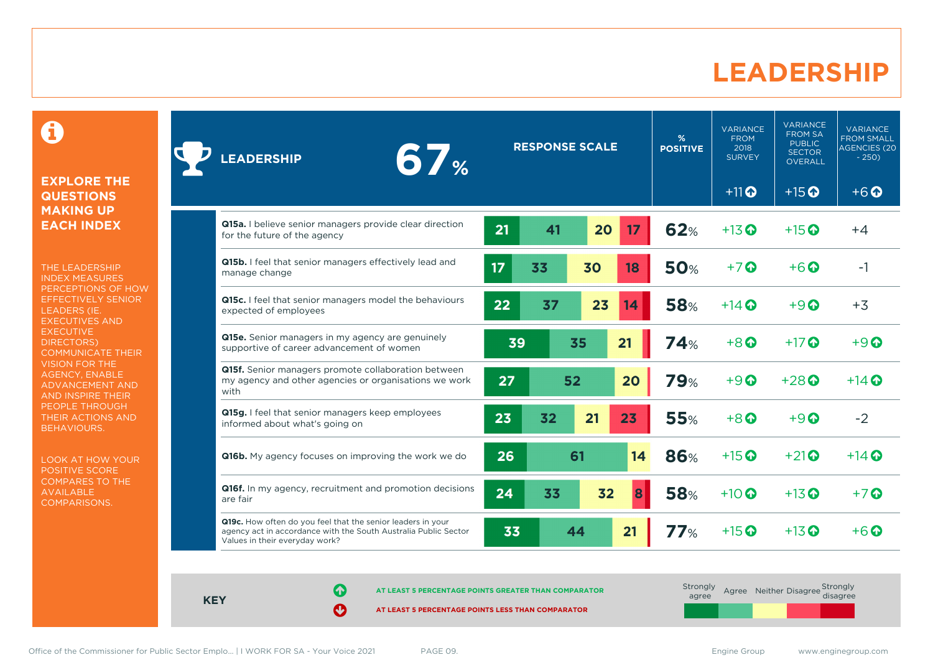### **LEADERSHIP**

0

#### **EXPLORE THE QUESTIONS MAKING UP EACH INDEX**

THE LEADERSHIP INDEX MEASURES PERCEPTIONS OF HOW EFFECTIVELY SENIOR LEADERS (IE. EXECUTIVES AND **EXECUTIVE** DIRECTORS) COMMUNICATE THEIR VISION FOR THE AGENCY, ENABLE ADVANCEMENT AND AND INSPIRE THEIR PEOPLE THROUGH THEIR ACTIONS AND BEHAVIOURS.

LOOK AT HOW YOUR POSITIVE SCORE COMPARES TO THE AVAILABLE COMPARISONS.

| <b>67%</b><br><b>EADERSHIP</b>                                                                                                                                   | <b>RESPONSE SCALE</b> |    | %<br><b>POSITIVE</b> | <b>VARIANCE</b><br><b>FROM</b><br>2018<br><b>SURVEY</b> | <b>VARIANCE</b><br><b>FROM SA</b><br><b>PUBLIC</b><br><b>SECTOR</b><br><b>OVERALL</b> | <b>VARIANCE</b><br><b>FROM SMALL</b><br>AGENCIES (20<br>$-250$ |                                     |                                     |
|------------------------------------------------------------------------------------------------------------------------------------------------------------------|-----------------------|----|----------------------|---------------------------------------------------------|---------------------------------------------------------------------------------------|----------------------------------------------------------------|-------------------------------------|-------------------------------------|
|                                                                                                                                                                  |                       |    |                      |                                                         |                                                                                       | $+11$ <sup>O</sup>                                             | $+15$ <sup>O</sup>                  | $+6$ <sup><math>\odot</math></sup>  |
| Q15a. I believe senior managers provide clear direction<br>for the future of the agency                                                                          | 21                    | 41 | 20                   | 17                                                      | 62%                                                                                   | $+13$ <sup>O</sup>                                             | $+15$ <sup>O</sup>                  | $+4$                                |
| Q15b. I feel that senior managers effectively lead and<br>manage change                                                                                          | 17                    | 33 | 30                   | 18                                                      | <b>50%</b>                                                                            | $+7$ $\odot$                                                   | $+6\Omega$                          | $-1$                                |
| Q15c. I feel that senior managers model the behaviours<br>expected of employees                                                                                  | 22                    | 37 | 23                   | 14                                                      | <b>58%</b>                                                                            | $+14$ $\odot$                                                  | $+9$ $\odot$                        | $+3$                                |
| Q15e. Senior managers in my agency are genuinely<br>supportive of career advancement of women                                                                    | 39                    |    | 35                   | 21                                                      | 74%                                                                                   | $+8$ <sup><math>\odot</math></sup>                             | $+17$ $\odot$                       | $+9$ <sup><math>\odot</math></sup>  |
| Q15f. Senior managers promote collaboration between<br>my agency and other agencies or organisations we work<br>with                                             | 27                    |    | 52                   | 20                                                      | <b>79%</b>                                                                            | $+9$                                                           | $+28$ <sup><math>\odot</math></sup> | $+14$ $\odot$                       |
| Q15g. I feel that senior managers keep employees<br>informed about what's going on                                                                               | 23                    | 32 | 21                   | 23                                                      | <b>55%</b>                                                                            | $+8$ $\odot$                                                   | $+9$ $\odot$                        | $-2$                                |
| Q16b. My agency focuses on improving the work we do                                                                                                              | 26                    |    | 61                   | 14                                                      | <b>86%</b>                                                                            | $+15$ <sup>O</sup>                                             | $+21$ <sup><math>\odot</math></sup> | $+14$ <sup><math>\odot</math></sup> |
| Q16f. In my agency, recruitment and promotion decisions<br>are fair                                                                                              | 24                    | 33 | 32                   | 8                                                       | <b>58%</b>                                                                            | $+10$ $\odot$                                                  | $+13$ <sup>O</sup>                  | $+7$ $\odot$                        |
| Q19c. How often do you feel that the senior leaders in your<br>agency act in accordance with the South Australia Public Sector<br>Values in their everyday work? | 33                    |    | 44                   | 21                                                      | 77%                                                                                   | $+15$ <sup>O</sup>                                             | $+13$ $\odot$                       | $+6$ $\Omega$                       |

**KEY**

**AT LEAST 5 PERCENTAGE POINTS GREATER THAN COMPARATOR**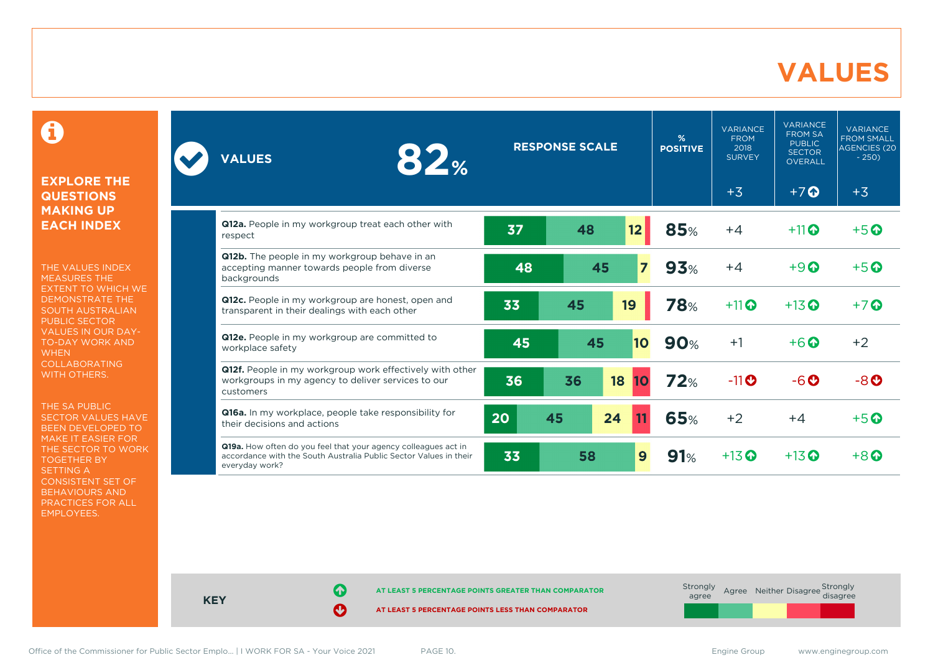### **VALUES**

0

#### **EXPLORE THE QUESTIONS MAKING UP EACH INDEX**

THE VALUES INDEX MEASURES THE EXTENT TO WHICH WE DEMONSTRATE THE SOUTH AUSTRALIAN PUBLIC SECTOR VALUES IN OUR DAY-TO-DAY WORK AND **WHEN** COLLABORATING WITH OTHERS.

THE SA PUBLIC SECTOR VALUES HAVE BEEN DEVELOPED TO MAKE IT EASIER FOR THE SECTOR TO WORK TOGETHER BY SETTING A CONSISTENT SET OF BEHAVIOURS AND PRACTICES FOR ALL EMPLOYEES.

| <b>82%</b><br><b>VALUES</b>                                                                                                                           |    | <b>RESPONSE SCALE</b> |                 | $\frac{9}{6}$<br><b>POSITIVE</b> | <b>VARIANCE</b><br><b>FROM</b><br>2018<br><b>SURVEY</b> | <b>VARIANCE</b><br><b>FROM SA</b><br><b>PUBLIC</b><br><b>SECTOR</b><br>OVERALL | <b>VARIANCE</b><br><b>FROM SMALL</b><br><b>AGENCIES (20)</b><br>$-250$ |
|-------------------------------------------------------------------------------------------------------------------------------------------------------|----|-----------------------|-----------------|----------------------------------|---------------------------------------------------------|--------------------------------------------------------------------------------|------------------------------------------------------------------------|
|                                                                                                                                                       |    |                       |                 |                                  | $+3$                                                    | $+7$ <sup>O</sup>                                                              | $+3$                                                                   |
| Q12a. People in my workgroup treat each other with<br>respect                                                                                         | 37 | 48                    | 12              | 85%                              | $+4$                                                    | $+11$ $\odot$                                                                  | $+5$ $\odot$                                                           |
| <b>Q12b.</b> The people in my workgroup behave in an<br>accepting manner towards people from diverse<br>backgrounds                                   | 48 | 45                    | $\overline{7}$  | 93%                              | $+4$                                                    | $+9$ <sup><math>\odot</math></sup>                                             | $+5$ <sup><math>\odot</math></sup>                                     |
| Q12c. People in my workgroup are honest, open and<br>transparent in their dealings with each other                                                    | 33 | 45                    | 19              | <b>78%</b>                       | $+11$                                                   | $+13$ <sup>O</sup>                                                             | $+7$ Q                                                                 |
| Q12e. People in my workgroup are committed to<br>workplace safety                                                                                     | 45 | 45                    | 10              | 90%                              | $+1$                                                    | $+6$ $\odot$                                                                   | $+2$                                                                   |
| Q12f. People in my workgroup work effectively with other<br>workgroups in my agency to deliver services to our<br>customers                           | 36 | 36                    | 18<br><b>10</b> | 72%                              | $-11$ O                                                 | $-6o$                                                                          | $-8o$                                                                  |
| Q16a. In my workplace, people take responsibility for<br>their decisions and actions                                                                  | 20 | 45                    | 24              | <b>65%</b>                       | $+2$                                                    | $+4$                                                                           | $+5$ $\odot$                                                           |
| Q19a. How often do you feel that your agency colleagues act in<br>accordance with the South Australia Public Sector Values in their<br>everyday work? | 33 | 58                    | 9               | 91%                              | $+13$ <sup>O</sup>                                      | $+13$ <sup>O</sup>                                                             | $+8$ $\odot$                                                           |

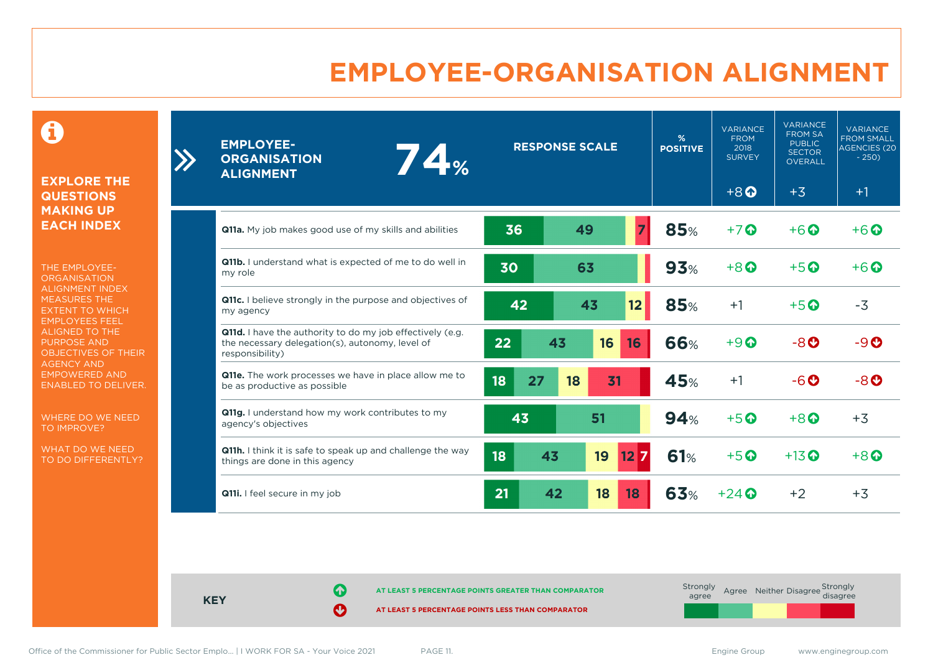### **EMPLOYEE-ORGANISATION ALIGNMENT**

0

**EXPLORE THE QUESTIONS MAKING UP EACH INDEX**

 $\sum$ 

THE EMPLOYEE-**ORGANISATION** ALIGNMENT INDEX MEASURES THE EXTENT TO WHICH EMPLOYEES FEEL ALIGNED TO THE PURPOSE AND OBJECTIVES OF THEIR AGENCY AND EMPOWERED AND ENABLED TO DELIVER.

WHERE DO WE NEED TO IMPROVE?

WHAT DO WE NEED TO DO DIFFERENTLY?

| <b>EMPLOYEE-</b><br>74%<br><b>ORGANISATION</b><br><b>ALIGNMENT</b>                                                              | <b>RESPONSE SCALE</b> |          |                  |            |                                     |                                    |                                    | %<br><b>POSITIVE</b> | <b>VARIANCE</b><br><b>FROM</b><br>2018<br><b>SURVEY</b> | <b>VARIANCE</b><br><b>FROM SA</b><br><b>PUBLIC</b><br><b>SECTOR</b><br><b>OVERALL</b> | <b>VARIANCE</b><br><b>FROM SMALL</b><br><b>AGENCIES (20)</b><br>$-250$ |
|---------------------------------------------------------------------------------------------------------------------------------|-----------------------|----------|------------------|------------|-------------------------------------|------------------------------------|------------------------------------|----------------------|---------------------------------------------------------|---------------------------------------------------------------------------------------|------------------------------------------------------------------------|
|                                                                                                                                 |                       |          |                  |            | $+8$ <sup><math>\odot</math></sup>  | $+3$                               | $+1$                               |                      |                                                         |                                                                                       |                                                                        |
| <b>Q11a.</b> My job makes good use of my skills and abilities                                                                   | 36                    | 49       |                  | 85%        | $+7$                                | $+6$ <sup><math>\odot</math></sup> | $+6\Omega$                         |                      |                                                         |                                                                                       |                                                                        |
| Q11b. I understand what is expected of me to do well in<br>my role                                                              | 30                    | 63       |                  | 93%        | $+8$ <sup><math>\Omega</math></sup> | $+5$ <sup><math>\odot</math></sup> | $+6\Omega$                         |                      |                                                         |                                                                                       |                                                                        |
| Q11c. I believe strongly in the purpose and objectives of<br>my agency                                                          | 42                    | 43       | 12 <sub>2</sub>  | 85%        | $+1$                                | $+5$ $\odot$                       | $-3$                               |                      |                                                         |                                                                                       |                                                                        |
| Q11d. I have the authority to do my job effectively (e.g.<br>the necessary delegation(s), autonomy, level of<br>responsibility) | 22                    | 43<br>16 | 16               | <b>66%</b> | $+9$ $\odot$                        | $-8$ $o$                           | $-9O$                              |                      |                                                         |                                                                                       |                                                                        |
| Q11e. The work processes we have in place allow me to<br>be as productive as possible                                           | 18<br>27              | 31<br>18 |                  | 45%        | $+1$                                | $-6o$                              | $-8$ <sup><math>\odot</math></sup> |                      |                                                         |                                                                                       |                                                                        |
| Q11g. I understand how my work contributes to my<br>agency's objectives                                                         | 43                    | 51       |                  | 94%        | $+5$ <sup>O</sup>                   | $+8$                               | $+3$                               |                      |                                                         |                                                                                       |                                                                        |
| Q11h. I think it is safe to speak up and challenge the way<br>things are done in this agency                                    | 18                    | 43<br>19 | $12\overline{7}$ | 61%        | $+5$ <sup>O</sup>                   | $+13$ $\odot$                      | $+8$ $\Omega$                      |                      |                                                         |                                                                                       |                                                                        |
| Q11i. I feel secure in my job                                                                                                   | 21                    | 42<br>18 | 18               | 63%        | $+24$ $\odot$                       | $+2$                               | $+3$                               |                      |                                                         |                                                                                       |                                                                        |

**KEY**

**AT LEAST 5 PERCENTAGE POINTS GREATER THAN COMPARATOR**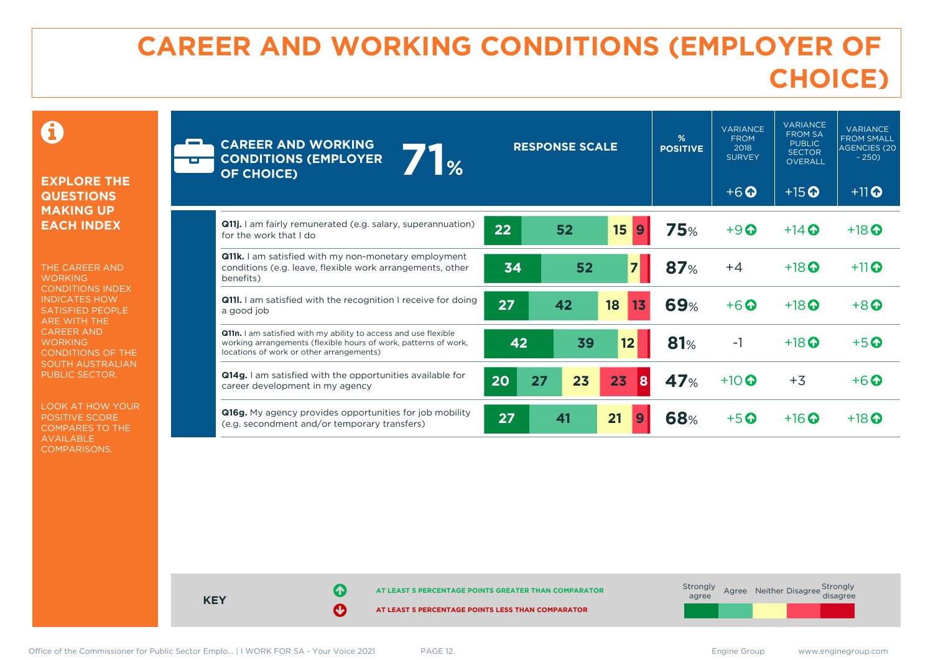# **CAREER AND WORKING CONDITIONS (EMPLOYER OF CHOICE)**

 $\mathbf \Omega$ 

#### **EXPLORE THE QUESTIONS MAKING UP EACH INDEX**

THE CAREER AND **WORKING** CONDITIONS INDEX INDICATES HOW SATISFIED PEOPLE ARE WITH THE CAREER AND **WORKING** CONDITIONS OF THE SOUTH AUSTRALIAN PUBLIC SECTOR.

LOOK AT HOW YOUR POSITIVE SCORE COMPARES TO THE AVAILABLE COMPARISONS.

| <b>CAREER AND WORKING</b><br>$\mathbb{I}_{\%}$<br><b>CONDITIONS (EMPLOYER</b><br><b>OF CHOICE)</b>                                                                             |          | <b>RESPONSE SCALE</b> |          | %<br><b>POSITIVE</b> | <b>VARIANCE</b><br><b>FROM</b><br>2018<br><b>SURVEY</b><br>$+6$ $\odot$ | <b>VARIANCE</b><br><b>FROM SA</b><br><b>PUBLIC</b><br><b>SECTOR</b><br><b>OVERALL</b><br>$+15$ <sup>O</sup> | <b>VARIANCE</b><br><b>FROM SMALL</b><br><b>AGENCIES (20</b><br>$-250$<br>$+11$ <sup>O</sup> |
|--------------------------------------------------------------------------------------------------------------------------------------------------------------------------------|----------|-----------------------|----------|----------------------|-------------------------------------------------------------------------|-------------------------------------------------------------------------------------------------------------|---------------------------------------------------------------------------------------------|
| <b>Q11j.</b> I am fairly remunerated (e.g. salary, superannuation)<br>for the work that I do                                                                                   | 22       | 52                    | 15<br>9  | <b>75%</b>           | $+9$ $\odot$                                                            | $+14$ $\odot$                                                                                               | $+18$ <sup>O</sup>                                                                          |
| <b>Q11k.</b> I am satisfied with my non-monetary employment<br>conditions (e.g. leave, flexible work arrangements, other<br>benefits)                                          | 34       | 52                    |          | <b>87%</b>           | $+4$                                                                    | $+18$ <sup>O</sup>                                                                                          | $+11$                                                                                       |
| <b>Q111.</b> I am satisfied with the recognition I receive for doing<br>a good job                                                                                             | 27       | 42                    | 18<br>13 | <b>69%</b>           | $+6$ $\odot$                                                            | $+18$ $\odot$                                                                                               | $+8$ $\odot$                                                                                |
| Q11n. I am satisfied with my ability to access and use flexible<br>working arrangements (flexible hours of work, patterns of work,<br>locations of work or other arrangements) | 42       | 39                    | 12       | 81%                  | $-1$                                                                    | $+18$ <sup>O</sup>                                                                                          | $+5$ $\odot$                                                                                |
| Q14g. I am satisfied with the opportunities available for<br>career development in my agency                                                                                   | 20<br>27 | 23                    | 23<br>8  | 47%                  | $+10$ $\odot$                                                           | $+3$                                                                                                        | $+6$ $\odot$                                                                                |
| <b>Q16g.</b> My agency provides opportunities for job mobility<br>(e.g. secondment and/or temporary transfers)                                                                 | 27       | 41                    | 21<br>9  | <b>68%</b>           | $+5$ $\odot$                                                            | $+16$ <sup>O</sup>                                                                                          | $+18$ <sup>O</sup>                                                                          |

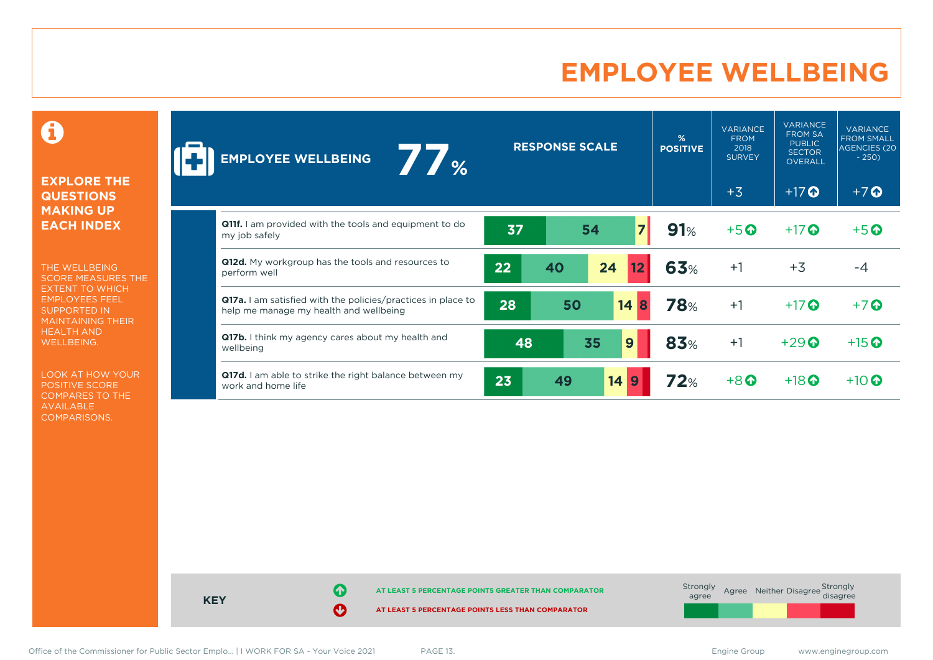### **EMPLOYEE WELLBEING**

0

#### **EXPLORE THE QUESTIONS MAKING UP EACH INDEX**

THE WELLBEING SCORE MEASURES THE EXTENT TO WHICH EMPLOYEES FEEL SUPPORTED IN MAINTAINING THEIR HEALTH AND WELLBEING.

LOOK AT HOW YOUR POSITIVE SCORE COMPARES TO THE AVAILABLE COMPARISONS.

| $\frac{1}{2}$<br><b>EMPLOYEE WELLBEING</b>                                                                    |    | <b>RESPONSE SCALE</b> |                        | %<br><b>POSITIVE</b> | <b>VARIANCE</b><br><b>FROM</b><br>2018<br><b>SURVEY</b> | <b>VARIANCE</b><br><b>FROM SA</b><br><b>PUBLIC</b><br><b>SECTOR</b><br><b>OVERALL</b> | <b>VARIANCE</b><br><b>FROM SMALL</b><br>AGENCIES (20<br>$-250$ |
|---------------------------------------------------------------------------------------------------------------|----|-----------------------|------------------------|----------------------|---------------------------------------------------------|---------------------------------------------------------------------------------------|----------------------------------------------------------------|
|                                                                                                               |    |                       |                        |                      | $+3$                                                    | $+17$ $\odot$                                                                         | $+7$                                                           |
| <b>Q11f.</b> I am provided with the tools and equipment to do<br>my job safely                                | 37 | 54                    | $\overline{7}$         | 91%                  | $+5$ <sup><math>\odot</math></sup>                      | $+17$ $\odot$                                                                         | $+5$ <sup>O</sup>                                              |
| Q12d. My workgroup has the tools and resources to<br>perform well                                             | 22 | 40                    | 24<br>12               | 63%                  | $+1$                                                    | $+3$                                                                                  | $-4$                                                           |
| <b>Q17a.</b> I am satisfied with the policies/practices in place to<br>help me manage my health and wellbeing | 28 | 50                    | 14<br>8                | <b>78%</b>           | $+1$                                                    | $+17$ $\odot$                                                                         | $+7$                                                           |
| Q17b. I think my agency cares about my health and<br>wellbeing                                                | 48 | 35                    | 9                      | 83%                  | $+1$                                                    | $+29$                                                                                 | $+15$ <sup>O</sup>                                             |
| Q17d. I am able to strike the right balance between my<br>work and home life                                  | 23 | 49                    | 14<br>$\boldsymbol{9}$ | 72%                  | $+8$ $\odot$                                            | $+18$ <sup>O</sup>                                                                    | $+10$ $\odot$                                                  |

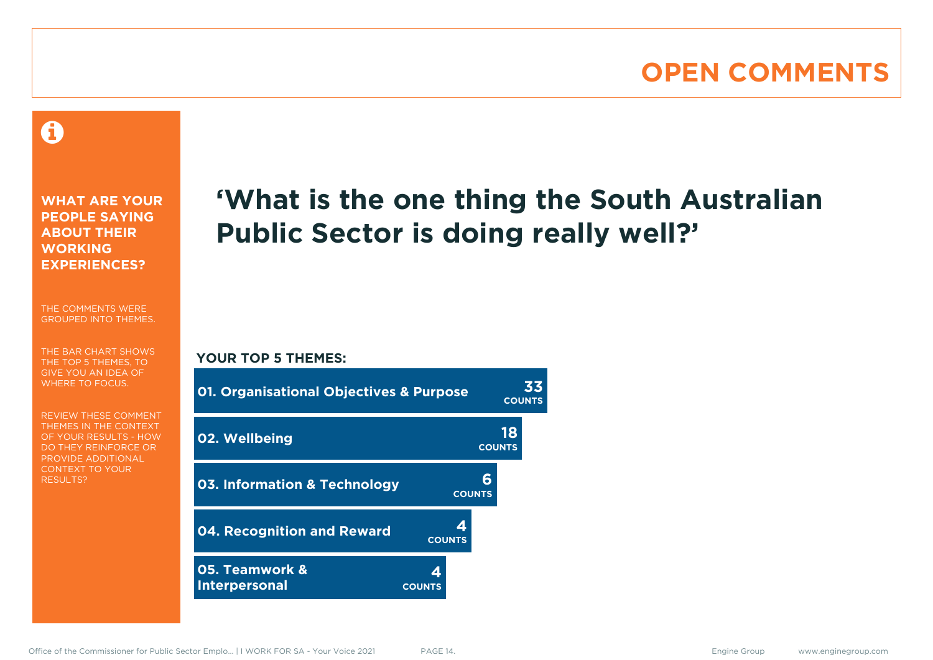### **OPEN COMMENTS**

### Ô

**WHAT ARE YOUR PEOPLE SAYING ABOUT THEIR WORKING EXPERIENCES?**

THE COMMENTS WERE GROUPED INTO THEMES.

THE BAR CHART SHOWS THE TOP 5 THEMES, TO GIVE YOU AN IDEA OF WHERE TO FOCUS.

REVIEW THESE COMMENT THEMES IN THE CONTEXT OF YOUR RESULTS - HOW DO THEY REINFORCE OR PROVIDE ADDITIONAL CONTEXT TO YOUR **RESULTS?** 

# **'What is the one thing the South Australian Public Sector is doing really well?'**

#### **YOUR TOP 5 THEMES:**

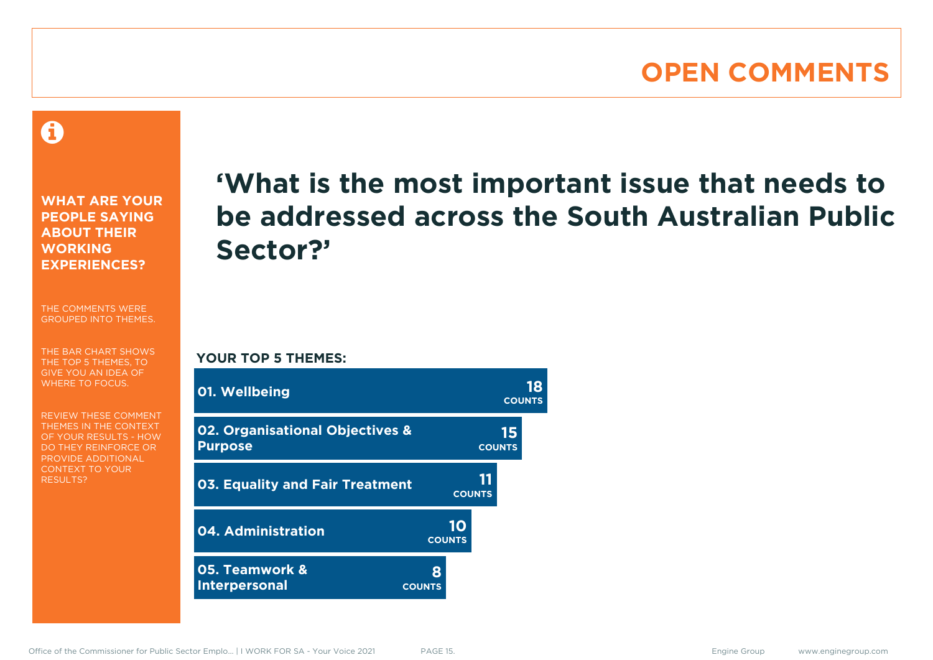### **OPEN COMMENTS**

Â

**WHAT ARE YOUR PEOPLE SAYING ABOUT THEIR WORKING EXPERIENCES?**

THE COMMENTS WERE GROUPED INTO THEMES.

THE BAR CHART SHOWS THE TOP 5 THEMES, TO GIVE YOU AN IDEA OF WHERE TO FOCUS.

REVIEW THESE COMMENT THEMES IN THE CONTEXT OF YOUR RESULTS - HOW DO THEY REINFORCE OR PROVIDE ADDITIONAL CONTEXT TO YOUR **RESULTS?** 

# **'What is the most important issue that needs to be addressed across the South Australian Public Sector?'**

**YOUR TOP 5 THEMES:**

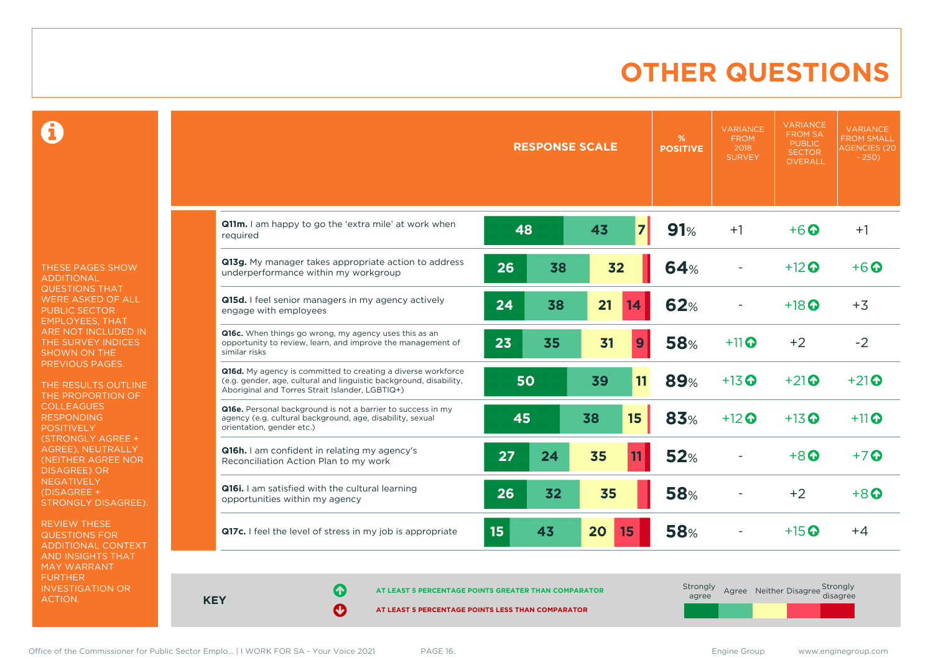### **OTHER QUESTIONS**

Ô

THESE PAGES SHOW ADDITIONAL QUESTIONS THAT WERE ASKED OF ALL PUBLIC SECTOR EMPLOYEES, THAT ARE NOT INCLUDED IN THE SURVEY INDICES SHOWN ON THE PREVIOUS PAGES.

THE RESULTS OUTLINE THE PROPORTION OF COLLEAGUES RESPONDING POSITIVELY (STRONGLY AGREE + AGREE), NEUTRALLY (NEITHER AGREE NOR DISAGREE) OR **NEGATIVELY** (DISAGREE + STRONGLY DISAGREE).

REVIEW THESE QUESTIONS FOR ADDITIONAL CONTEXT AND INSIGHTS THAT MAY WARRANT FURTHER INVESTIGATION OR ACTION.

|                                                                                                                                                                                       |    | <b>RESPONSE SCALE</b> |    |                | %<br><b>POSITIVE</b> | <b>VARIANCE</b><br><b>FROM</b><br>2018<br><b>SURVEY</b> | <b>VARIANCE</b><br><b>FROM SA</b><br><b>PUBLIC</b><br><b>SECTOR</b><br>OVERALL | <b>VARIANCE</b><br><b>FROM SMALL</b><br><b>AGENCIES (20)</b><br>$-250$ |
|---------------------------------------------------------------------------------------------------------------------------------------------------------------------------------------|----|-----------------------|----|----------------|----------------------|---------------------------------------------------------|--------------------------------------------------------------------------------|------------------------------------------------------------------------|
| Q11m. I am happy to go the 'extra mile' at work when<br>required                                                                                                                      | 48 |                       | 43 | $\overline{7}$ | 91%                  | $+1$                                                    | $+6$ $\odot$                                                                   | $+1$                                                                   |
| Q13g. My manager takes appropriate action to address<br>underperformance within my workgroup                                                                                          | 26 | 38                    | 32 |                | <b>64%</b>           |                                                         | $+12$ $\odot$                                                                  | $+6\Omega$                                                             |
| Q15d. I feel senior managers in my agency actively<br>engage with employees                                                                                                           | 24 | 38                    | 21 | 14             | <b>62%</b>           |                                                         | $+18$ $\odot$                                                                  | $+3$                                                                   |
| Q16c. When things go wrong, my agency uses this as an<br>opportunity to review, learn, and improve the management of<br>similar risks                                                 | 23 | 35                    | 31 | 9              | <b>58%</b>           | $+11$                                                   | $+2$                                                                           | $-2$                                                                   |
| Q16d. My agency is committed to creating a diverse workforce<br>(e.g. gender, age, cultural and linguistic background, disability,<br>Aboriginal and Torres Strait Islander, LGBTIQ+) | 50 |                       | 39 | 11             | 89%                  | $+13$ <sup><math>\odot</math></sup>                     | $+21$                                                                          | $+21$                                                                  |
| Q16e. Personal background is not a barrier to success in my<br>agency (e.g. cultural background, age, disability, sexual<br>orientation, gender etc.)                                 | 45 |                       | 38 | 15             | 83%                  | $+12$ $\odot$                                           | $+13$ <sup>O</sup>                                                             | $+11$ <sup>O</sup>                                                     |
| Q16h. I am confident in relating my agency's<br>Reconciliation Action Plan to my work                                                                                                 | 27 | 24                    | 35 | 11             | 52%                  |                                                         | $+8$ $\Omega$                                                                  | $+7$ $\odot$                                                           |
| Q16i. I am satisfied with the cultural learning<br>opportunities within my agency                                                                                                     | 26 | 32                    | 35 |                | <b>58%</b>           |                                                         | $+2$                                                                           | $+8$ $\Omega$                                                          |
| Q17c. I feel the level of stress in my job is appropriate                                                                                                                             | 15 | 43                    | 20 | 15             | <b>58%</b>           |                                                         | $+15$ $\odot$                                                                  | $+4$                                                                   |

**KEY**

**AT LEAST 5 PERCENTAGE POINTS GREATER THAN COMPARATOR**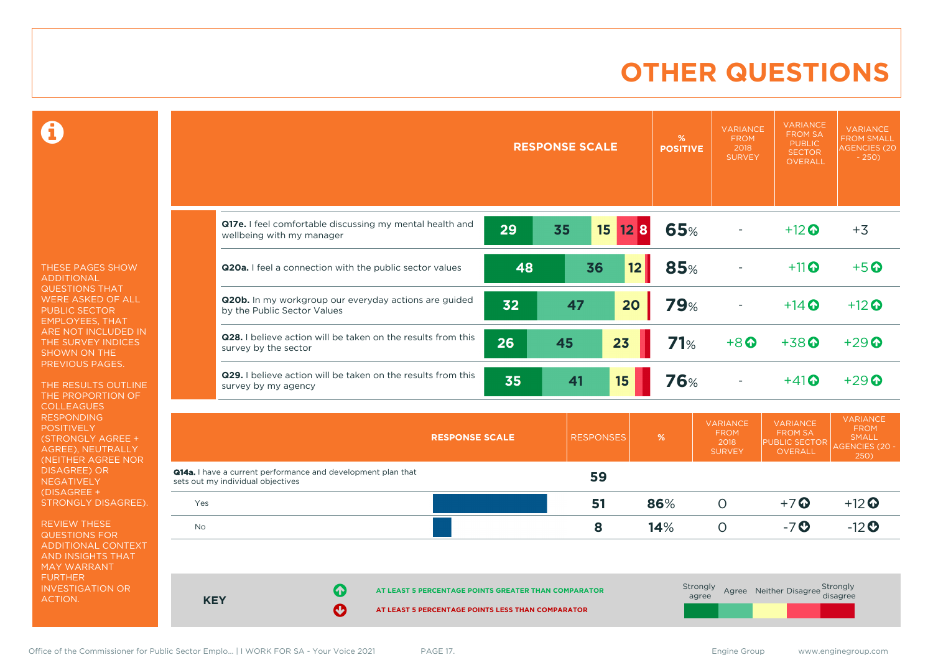### **OTHER QUESTIONS**

 $\mathbf \Omega$ 

THESE PAGES SHOW ADDITIONAL QUESTIONS THAT WERE ASKED OF ALL PUBLIC SECTOR EMPLOYEES, THAT ARE NOT INCLUDED IN THE SURVEY INDICES SHOWN ON THE PREVIOUS PAGES.

THE RESULTS OUTLINE THE PROPORTION OF COLLEAGUES RESPONDING **POSITIVELY** (STRONGLY AGREE + AGREE), NEUTRALLY (NEITHER AGREE NOR DISAGREE) OR NEGATIVELY (DISAGREE + STRONGLY DISAGREE).

REVIEW THESE QUESTIONS FOR ADDITIONAL CONTEXT AND INSIGHTS THAT MAY WARRANT FURTHER INVESTIGATION OR ACTION.

|            |                                                                                                                     |    | <b>RESPONSE SCALE</b>  |            | %<br><b>POSITIVE</b> | <b>VARIANCE</b><br><b>FROM</b><br>2018<br><b>SURVEY</b> | <b>VARIANCE</b><br><b>FROM SA</b><br><b>PUBLIC</b><br><b>SECTOR</b><br><b>OVERALL</b> | <b>VARIANCE</b><br><b>FROM SMALL</b><br><b>AGENCIES (20</b><br>$-250$           |
|------------|---------------------------------------------------------------------------------------------------------------------|----|------------------------|------------|----------------------|---------------------------------------------------------|---------------------------------------------------------------------------------------|---------------------------------------------------------------------------------|
|            | Q17e. I feel comfortable discussing my mental health and<br>wellbeing with my manager                               | 29 | 35<br>15 <sub>15</sub> | <b>128</b> | 65%                  |                                                         | $+12$                                                                                 | $+3$                                                                            |
|            | Q20a. I feel a connection with the public sector values                                                             | 48 | 36                     | 12         | 85%                  |                                                         | $+11$ <sup>O</sup>                                                                    | $+5$ <sup>O</sup>                                                               |
|            | Q20b. In my workgroup our everyday actions are guided<br>by the Public Sector Values                                | 32 | 47                     | 20         | <b>79%</b>           |                                                         | $+14$ $\odot$                                                                         | $+12$                                                                           |
|            | Q28. I believe action will be taken on the results from this<br>survey by the sector                                | 26 | 45                     | 23         | 71%                  | $+8$ <sup><math>\odot</math></sup>                      | $+38$ <sup>O</sup>                                                                    | $+29$                                                                           |
|            | Q29. I believe action will be taken on the results from this<br>survey by my agency                                 | 35 | 41                     | 15         | <b>76%</b>           |                                                         | $+41$                                                                                 | $+29$ $\odot$                                                                   |
|            | <b>RESPONSE SCALE</b>                                                                                               |    | <b>RESPONSES</b>       |            | %                    | <b>VARIANCE</b><br><b>FROM</b><br>2018<br><b>SURVEY</b> | <b>VARIANCE</b><br><b>FROM SA</b><br>PUBLIC SECTOR<br>OVERALL                         | <b>VARIANCE</b><br><b>FROM</b><br><b>SMALL</b><br><b>AGENCIES (20 -</b><br>250) |
|            | Q14a. I have a current performance and development plan that<br>sets out my individual objectives                   |    | 59                     |            |                      |                                                         |                                                                                       |                                                                                 |
| Yes        |                                                                                                                     |    | 51                     |            | 86%                  | $\circ$                                                 | $+7$ $\odot$                                                                          | $+12$                                                                           |
| No         |                                                                                                                     |    | 8                      |            | 14%                  | $\circ$                                                 | $-7o$                                                                                 | $-12$ <sup>O</sup>                                                              |
| <b>KEY</b> | Ø<br>AT LEAST 5 PERCENTAGE POINTS GREATER THAN COMPARATOR<br>Ø<br>AT LEAST 5 PERCENTAGE POINTS LESS THAN COMPARATOR |    |                        |            | Strongly<br>agree    |                                                         | Agree Neither Disagree Strongly                                                       | disagree                                                                        |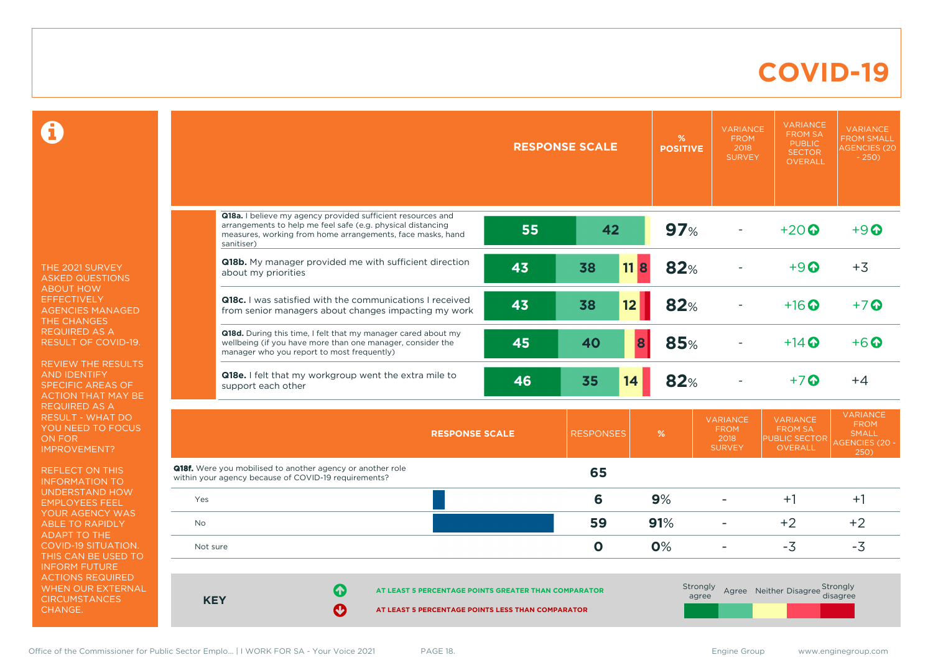### **COVID-19**

 $\mathbf \Omega$ 

THE 2021 SURVEY ASKED QUESTIONS ABOUT HOW **EFFECTIVELY** AGENCIES MANAGED THE CHANGES REQUIRED AS A RESULT OF COVID-19.

REVIEW THE RESULTS AND IDENTIFY SPECIFIC AREAS OF ACTION THAT MAY BE REQUIRED AS A RESULT - WHAT DO YOU NEED TO FOCUS ON FOR IMPROVEMENT?

REFLECT ON THIS INFORMATION TO UNDERSTAND HOW EMPLOYEES FEEL YOUR AGENCY WAS ABLE TO RAPIDLY ADAPT TO THE COVID-19 SITUATION. THIS CAN BE USED TO INFORM FUTURE ACTIONS REQUIRED WHEN OUR EXTERNAL **CIRCUMSTANCES** CHANGE.

|                                                                                                                                                                                           |                                                                                                                            |                                                                                                                  |    | <b>RESPONSE SCALE</b> | %<br><b>POSITIVE</b> | <b>VARIANCE</b><br><b>FROM</b><br>2018<br><b>SURVEY</b> | <b>VARIANCE</b><br><b>FROM SA</b><br><b>PUBLIC</b><br><b>SECTOR</b><br><b>OVERALL</b> | <b>VARIANCE</b><br><b>FROM SMALL</b><br><b>AGENCIES (20</b><br>$-250$           |
|-------------------------------------------------------------------------------------------------------------------------------------------------------------------------------------------|----------------------------------------------------------------------------------------------------------------------------|------------------------------------------------------------------------------------------------------------------|----|-----------------------|----------------------|---------------------------------------------------------|---------------------------------------------------------------------------------------|---------------------------------------------------------------------------------|
| sanitiser)                                                                                                                                                                                | Q18a. I believe my agency provided sufficient resources and<br>arrangements to help me feel safe (e.g. physical distancing | measures, working from home arrangements, face masks, hand                                                       | 55 | 42                    | 97%                  |                                                         | $+20$ $\odot$                                                                         | $+9$ $\odot$                                                                    |
|                                                                                                                                                                                           | about my priorities                                                                                                        | Q18b. My manager provided me with sufficient direction                                                           | 43 | 11B<br>38             | 82%                  |                                                         | $+9$ $\odot$                                                                          | $+3$                                                                            |
|                                                                                                                                                                                           |                                                                                                                            | Q18c. I was satisfied with the communications I received<br>from senior managers about changes impacting my work | 43 | 38<br>12              | 82%                  |                                                         | $+16$ $\odot$                                                                         | $+7$                                                                            |
|                                                                                                                                                                                           | wellbeing (if you have more than one manager, consider the<br>manager who you report to most frequently)                   | Q18d. During this time, I felt that my manager cared about my                                                    | 45 | 40                    | 8<br>85%             |                                                         | $+14$ $\odot$                                                                         | $+6\Omega$                                                                      |
|                                                                                                                                                                                           | support each other                                                                                                         | <b>Q18e.</b> I felt that my workgroup went the extra mile to                                                     | 46 | 35<br>14              | 82%                  |                                                         | $+7$ $\odot$                                                                          | $+4$                                                                            |
|                                                                                                                                                                                           |                                                                                                                            | <b>RESPONSE SCALE</b>                                                                                            |    | <b>RESPONSES</b>      | %                    | <b>VARIANCE</b><br><b>FROM</b><br>2018<br><b>SURVEY</b> | <b>VARIANCE</b><br><b>FROM SA</b><br>PUBLIC SECTOR<br><b>OVERALL</b>                  | <b>VARIANCE</b><br><b>FROM</b><br><b>SMALL</b><br><b>AGENCIES (20 -</b><br>250) |
|                                                                                                                                                                                           | <b>Q18f.</b> Were you mobilised to another agency or another role<br>within your agency because of COVID-19 requirements?  |                                                                                                                  |    | 65                    |                      |                                                         |                                                                                       |                                                                                 |
| Yes                                                                                                                                                                                       |                                                                                                                            |                                                                                                                  |    | 6                     | 9%                   | ۳                                                       | $+1$                                                                                  | $+1$                                                                            |
| <b>No</b>                                                                                                                                                                                 |                                                                                                                            |                                                                                                                  |    | 59                    | 91%                  | ٠                                                       | $+2$                                                                                  | $+2$                                                                            |
| Not sure                                                                                                                                                                                  |                                                                                                                            |                                                                                                                  |    | $\mathbf 0$           | 0%                   |                                                         | $-3$                                                                                  | $-3$                                                                            |
| Strongly<br>Agree Neither Disagree Strongly<br>6<br>AT LEAST 5 PERCENTAGE POINTS GREATER THAN COMPARATOR<br>agree<br><b>KEY</b><br>Ø<br>AT LEAST 5 PERCENTAGE POINTS LESS THAN COMPARATOR |                                                                                                                            |                                                                                                                  |    |                       |                      |                                                         |                                                                                       | disagree                                                                        |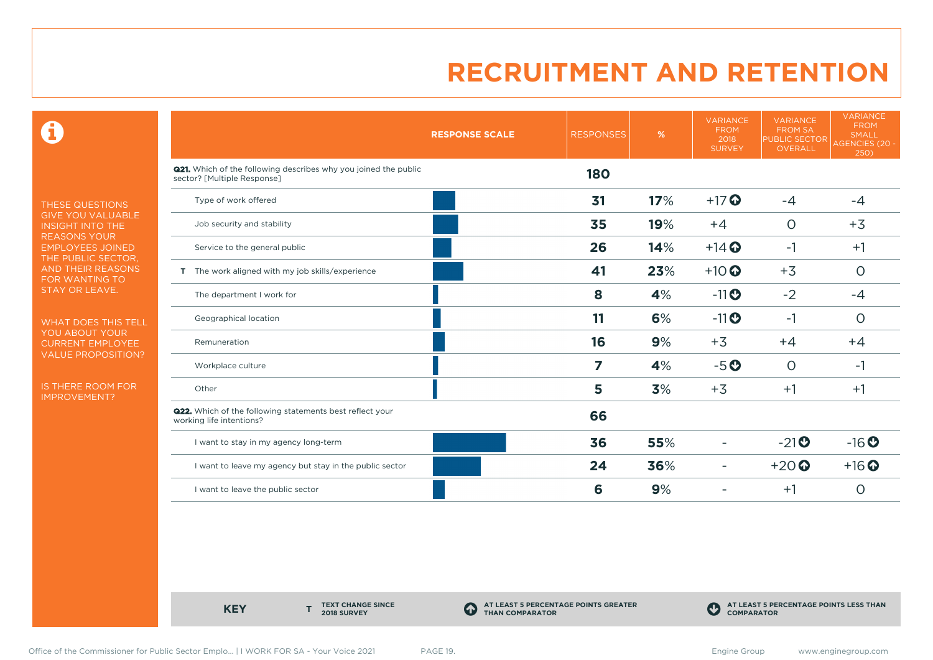0

THESE QUESTIONS GIVE YOU VALUABLE INSIGHT INTO THE REASONS YOUR EMPLOYEES JOINED THE PUBLIC SECTOR, AND THEIR REASONS FOR WANTING TO STAY OR LEAVE.

WHAT DOES THIS TELL YOU ABOUT YOUR CURRENT EMPLOYEE VALUE PROPOSITION?

IS THERE ROOM FOR IMPROVEMENT?

|                                                                                                       | <b>RESPONSE SCALE</b> | <b>RESPONSES</b> | %   | <b>VARIANCE</b><br><b>FROM</b><br>2018<br><b>SURVEY</b> | <b>VARIANCE</b><br><b>FROM SA</b><br>PUBLIC SECTOR<br>OVERALL | <b>VARIANCE</b><br><b>FROM</b><br>SMALL<br><b>AGENCIES (20 -</b><br>250) |
|-------------------------------------------------------------------------------------------------------|-----------------------|------------------|-----|---------------------------------------------------------|---------------------------------------------------------------|--------------------------------------------------------------------------|
| <b>Q21.</b> Which of the following describes why you joined the public<br>sector? [Multiple Response] |                       | <b>180</b>       |     |                                                         |                                                               |                                                                          |
| Type of work offered                                                                                  |                       | 31               | 17% | $+17$                                                   | $-4$                                                          | $-4$                                                                     |
| Job security and stability                                                                            |                       | 35               | 19% | $+4$                                                    | $\circ$                                                       | $+3$                                                                     |
| Service to the general public                                                                         |                       | 26               | 14% | $+14$ <sup>O</sup>                                      | $-1$                                                          | $+1$                                                                     |
| T The work aligned with my job skills/experience                                                      |                       | 41               | 23% | $+10$                                                   | $+3$                                                          | $\circ$                                                                  |
| The department I work for                                                                             |                       | 8                | 4%  | $-11$                                                   | $-2$                                                          | $-4$                                                                     |
| Geographical location                                                                                 |                       | 11               | 6%  | $-11$ <sup>O</sup>                                      | $-1$                                                          | $\circ$                                                                  |
| Remuneration                                                                                          |                       | 16               | 9%  | $+3$                                                    | $+4$                                                          | $+4$                                                                     |
| Workplace culture                                                                                     |                       | 7                | 4%  | $-5o$                                                   | $\circ$                                                       | $-1$                                                                     |
| Other                                                                                                 |                       | 5                | 3%  | $+3$                                                    | $+1$                                                          | $+1$                                                                     |
| <b>Q22.</b> Which of the following statements best reflect your<br>working life intentions?           |                       | 66               |     |                                                         |                                                               |                                                                          |
| I want to stay in my agency long-term                                                                 |                       | 36               | 55% |                                                         | $-21$ <b>O</b>                                                | $-16$ <sup>O</sup>                                                       |
| I want to leave my agency but stay in the public sector                                               |                       | 24               | 36% | $\overline{\phantom{a}}$                                | $+20$                                                         | $+16$ <sup>O</sup>                                                       |
| I want to leave the public sector                                                                     |                       | 6                | 9%  |                                                         | $+1$                                                          | $\circ$                                                                  |

**KEY** 

**TEXT CHANGE SINCE 2018 SURVEY**

**AT LEAST 5 PERCENTAGE POINTS GREATER THAN COMPARATOR**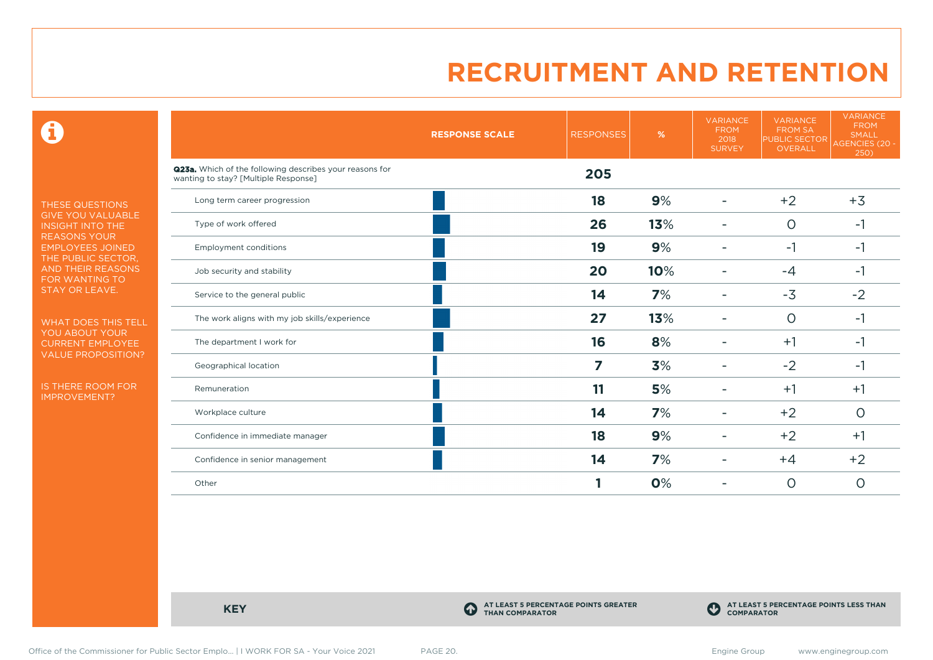$\mathbf \Theta$ 

THESE QUESTIONS GIVE YOU VALUABLE INSIGHT INTO THE REASONS YOUR EMPLOYEES JOINED THE PUBLIC SECTOR, AND THEIR REASONS FOR WANTING TO STAY OR LEAVE.

WHAT DOES THIS TELL YOU ABOUT YOUR CURRENT EMPLOYEE VALUE PROPOSITION?

IS THERE ROOM FOR IMPROVEMENT?

|                                                                                                 | <b>RESPONSE SCALE</b> | <b>RESPONSES</b> | %   | <b>VARIANCE</b><br><b>FROM</b><br>2018<br><b>SURVEY</b> | <b>VARIANCE</b><br><b>FROM SA</b><br><b>PUBLIC SECTOR</b><br>OVERALL | <b>VARIANCE</b><br><b>FROM</b><br><b>SMALL</b><br>AGENCIES (20 -<br>250) |
|-------------------------------------------------------------------------------------------------|-----------------------|------------------|-----|---------------------------------------------------------|----------------------------------------------------------------------|--------------------------------------------------------------------------|
| Q23a. Which of the following describes your reasons for<br>wanting to stay? [Multiple Response] |                       | 205              |     |                                                         |                                                                      |                                                                          |
| Long term career progression                                                                    |                       | 18               | 9%  |                                                         | $+2$                                                                 | $+3$                                                                     |
| Type of work offered                                                                            |                       | 26               | 13% |                                                         | $\Omega$                                                             | $-1$                                                                     |
| <b>Employment conditions</b>                                                                    |                       | 19               | 9%  |                                                         | $-1$                                                                 | $-1$                                                                     |
| Job security and stability                                                                      |                       | 20               | 10% |                                                         | $-4$                                                                 | $-1$                                                                     |
| Service to the general public                                                                   |                       | 14               | 7%  |                                                         | $-3$                                                                 | $-2$                                                                     |
| The work aligns with my job skills/experience                                                   |                       | 27               | 13% |                                                         | $\circ$                                                              | $-1$                                                                     |
| The department I work for                                                                       |                       | 16               | 8%  |                                                         | $+1$                                                                 | $-1$                                                                     |
| Geographical location                                                                           |                       | 7                | 3%  |                                                         | $-2$                                                                 | $-1$                                                                     |
| Remuneration                                                                                    |                       | 11               | 5%  |                                                         | $+1$                                                                 | $+1$                                                                     |
| Workplace culture                                                                               |                       | 14               | 7%  |                                                         | $+2$                                                                 | $\circ$                                                                  |
| Confidence in immediate manager                                                                 |                       | 18               | 9%  |                                                         | $+2$                                                                 | $+1$                                                                     |
| Confidence in senior management                                                                 |                       | 14               | 7%  |                                                         | $+4$                                                                 | $+2$                                                                     |
| Other                                                                                           |                       |                  | 0%  |                                                         | $\circ$                                                              | 0                                                                        |

**KEY C** 

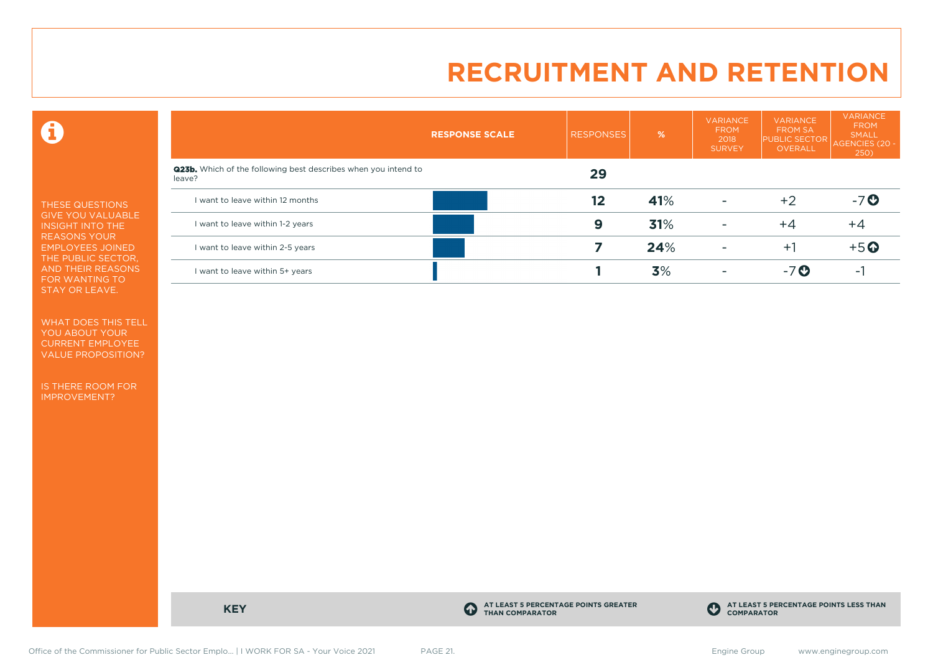$\mathbf \Theta$ 

THESE QUESTIONS GIVE YOU VALUABLE INSIGHT INTO THE REASONS YOUR EMPLOYEES JOINED THE PUBLIC SECTOR, AND THEIR REASONS FOR WANTING TO STAY OR LEAVE.

WHAT DOES THIS TELL YOU ABOUT YOUR CURRENT EMPLOYEE VALUE PROPOSITION?

IS THERE ROOM FOR IMPROVEMENT?

|                                                                                 | <b>RESPONSE SCALE</b> | <b>RESPONSES</b> | %   | <b>VARIANCE</b><br><b>FROM</b><br>2018<br><b>SURVEY</b> | <b>VARIANCE</b><br><b>FROM SA</b><br><b>PUBLIC SECTOR</b><br><b>OVERALL</b> | VARIANCE<br><b>FROM</b><br><b>SMALL</b><br>AGENCIES (20 -<br>250) |
|---------------------------------------------------------------------------------|-----------------------|------------------|-----|---------------------------------------------------------|-----------------------------------------------------------------------------|-------------------------------------------------------------------|
| <b>Q23b.</b> Which of the following best describes when you intend to<br>leave? |                       | 29               |     |                                                         |                                                                             |                                                                   |
| I want to leave within 12 months                                                |                       | 12               | 41% | ٠                                                       | $+2$                                                                        | $-7$ $\odot$                                                      |
| I want to leave within 1-2 years                                                |                       | 9                | 31% | ۰                                                       | $+4$                                                                        | $+4$                                                              |
| I want to leave within 2-5 years                                                |                       |                  | 24% |                                                         | $+1$                                                                        | $+5$ <sup>O</sup>                                                 |
| I want to leave within 5+ years                                                 |                       |                  | 3%  |                                                         | $-7$ $\odot$                                                                | $\overline{\phantom{a}}$                                          |

**KEY C** 

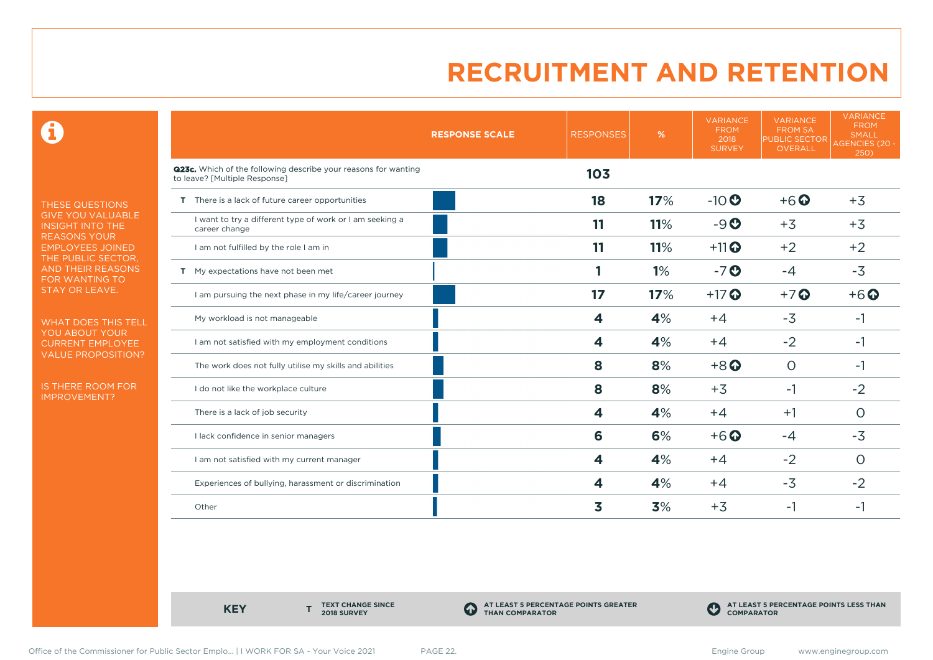0

THESE QUESTIONS GIVE YOU VALUABLE INSIGHT INTO THE REASONS YOUR EMPLOYEES JOINED THE PUBLIC SECTOR, AND THEIR REASONS FOR WANTING TO STAY OR LEAVE.

WHAT DOES THIS TELL YOU ABOUT YOUR CURRENT EMPLOYEE VALUE PROPOSITION?

IS THERE ROOM FOR IMPROVEMENT?

|                                                                                                 | <b>RESPONSE SCALE</b><br><b>RESPONSES</b> | %   | <b>VARIANCE</b><br><b>FROM</b><br>2018<br><b>SURVEY</b> | <b>VARIANCE</b><br><b>FROM SA</b><br><b>PUBLIC SECTOR</b><br>OVERALL | <b>VARIANCE</b><br><b>FROM</b><br><b>SMALL</b><br>AGENCIES (20 -<br>250) |
|-------------------------------------------------------------------------------------------------|-------------------------------------------|-----|---------------------------------------------------------|----------------------------------------------------------------------|--------------------------------------------------------------------------|
| Q23c. Which of the following describe your reasons for wanting<br>to leave? [Multiple Response] | 103                                       |     |                                                         |                                                                      |                                                                          |
| T There is a lack of future career opportunities                                                | 18                                        | 17% | $-10$                                                   | $+6$ <sup>O</sup>                                                    | $+3$                                                                     |
| I want to try a different type of work or I am seeking a<br>career change                       | 11                                        | 11% | $-9o$                                                   | $+3$                                                                 | $+3$                                                                     |
| I am not fulfilled by the role I am in                                                          | 11                                        | 11% | $+11$ <sup>O</sup>                                      | $+2$                                                                 | $+2$                                                                     |
| T My expectations have not been met                                                             |                                           | 1%  | $-7o$                                                   | $-4$                                                                 | $-3$                                                                     |
| I am pursuing the next phase in my life/career journey                                          | 17                                        | 17% | $+17$ $\odot$                                           | $+7$ $\odot$                                                         | $+6$ $\odot$                                                             |
| My workload is not manageable                                                                   | 4                                         | 4%  | $+4$                                                    | $-3$                                                                 | -1                                                                       |
| I am not satisfied with my employment conditions                                                | 4                                         | 4%  | $+4$                                                    | $-2$                                                                 | -1                                                                       |
| The work does not fully utilise my skills and abilities                                         | 8                                         | 8%  | $+8$ <sup><math>\odot</math></sup>                      | $\Omega$                                                             | -1                                                                       |
| I do not like the workplace culture                                                             | 8                                         | 8%  | $+3$                                                    | $-1$                                                                 | $-2$                                                                     |
| There is a lack of job security                                                                 | 4                                         | 4%  | $+4$                                                    | $+1$                                                                 | $\Omega$                                                                 |
| I lack confidence in senior managers                                                            | 6                                         | 6%  | $+6$ $\odot$                                            | $-4$                                                                 | $-3$                                                                     |
| I am not satisfied with my current manager                                                      | 4                                         | 4%  | $+4$                                                    | $-2$                                                                 | $\circ$                                                                  |
| Experiences of bullying, harassment or discrimination                                           | 4                                         | 4%  | $+4$                                                    | $-3$                                                                 | $-2$                                                                     |
| Other                                                                                           | 3                                         | 3%  | $+3$                                                    | $-1$                                                                 | -1                                                                       |

**KEY** 

**TEXT CHANGE SINCE 2018 SURVEY**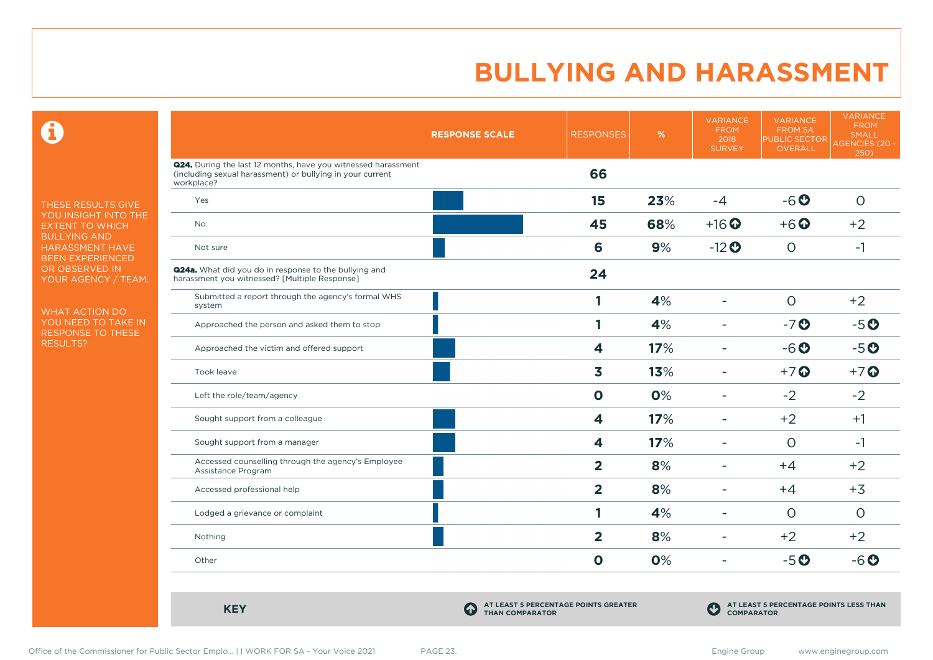$\mathbf \Omega$ 

THESE RESULTS GIVE YOU INSIGHT INTO THE EXTENT TO WHICH BULLYING AND HARASSMENT HAVE BEEN EXPERIENCED OR OBSERVED IN YOUR AGENCY / TEAM.

WHAT ACTION DO YOU NEED TO TAKE IN RESPONSE TO THESE RESULTS?

|                                                                                                                                          | <b>RESPONSE SCALE</b>                                               | <b>RESPONSES</b>        | %   | <b>VARIANCE</b><br><b>FROM</b><br>2018<br><b>SURVEY</b> | <b>VARIANCE</b><br><b>FROM SA</b><br><b>PUBLIC SECTOR</b><br>OVERALL | <b>VARIANCE</b><br><b>FROM</b><br><b>SMALL</b><br><b>AGENCIES (20 -</b><br>250) |
|------------------------------------------------------------------------------------------------------------------------------------------|---------------------------------------------------------------------|-------------------------|-----|---------------------------------------------------------|----------------------------------------------------------------------|---------------------------------------------------------------------------------|
| Q24. During the last 12 months, have you witnessed harassment<br>(including sexual harassment) or bullying in your current<br>workplace? |                                                                     | 66                      |     |                                                         |                                                                      |                                                                                 |
| Yes                                                                                                                                      |                                                                     | 15                      | 23% | $-4$                                                    | $-6o$                                                                | $\circ$                                                                         |
| <b>No</b>                                                                                                                                |                                                                     | 45                      | 68% | $+16$ <sup>O</sup>                                      | $+6$ $\odot$                                                         | $+2$                                                                            |
| Not sure                                                                                                                                 |                                                                     | 6                       | 9%  | $-12$ <sup>O</sup>                                      | $\circ$                                                              | $-1$                                                                            |
| Q24a. What did you do in response to the bullying and<br>harassment you witnessed? [Multiple Response]                                   |                                                                     | 24                      |     |                                                         |                                                                      |                                                                                 |
| Submitted a report through the agency's formal WHS<br>system                                                                             |                                                                     | 1                       | 4%  | $\overline{\phantom{a}}$                                | $\circ$                                                              | $+2$                                                                            |
| Approached the person and asked them to stop                                                                                             |                                                                     | 1                       | 4%  |                                                         | $-7o$                                                                | $-5o$                                                                           |
| Approached the victim and offered support                                                                                                |                                                                     | 4                       | 17% | $\overline{\phantom{a}}$                                | $-6o$                                                                | $-5o$                                                                           |
| Took leave                                                                                                                               |                                                                     | 3                       | 13% | $\equiv$                                                | $+7$ $\odot$                                                         | $+7$ $\odot$                                                                    |
| Left the role/team/agency                                                                                                                |                                                                     | $\mathbf 0$             | 0%  |                                                         | $-2$                                                                 | $-2$                                                                            |
| Sought support from a colleague                                                                                                          |                                                                     | 4                       | 17% |                                                         | $+2$                                                                 | $+1$                                                                            |
| Sought support from a manager                                                                                                            |                                                                     | $\overline{\mathbf{4}}$ | 17% |                                                         | $\circ$                                                              | $-1$                                                                            |
| Accessed counselling through the agency's Employee<br>Assistance Program                                                                 |                                                                     | $\overline{2}$          | 8%  | ۰                                                       | $+4$                                                                 | $+2$                                                                            |
| Accessed professional help                                                                                                               |                                                                     | $\overline{\mathbf{2}}$ | 8%  | ÷                                                       | $+4$                                                                 | $+3$                                                                            |
| Lodged a grievance or complaint                                                                                                          |                                                                     | 1                       | 4%  | ÷                                                       | $\circ$                                                              | $\circ$                                                                         |
| Nothing                                                                                                                                  |                                                                     | $\overline{2}$          | 8%  |                                                         | $+2$                                                                 | $+2$                                                                            |
| Other                                                                                                                                    |                                                                     | $\mathbf 0$             | 0%  | $\blacksquare$                                          | $-5o$                                                                | $-6o$                                                                           |
|                                                                                                                                          |                                                                     |                         |     |                                                         |                                                                      |                                                                                 |
| <b>KEY</b>                                                                                                                               | AT LEAST 5 PERCENTAGE POINTS GREATER<br>4<br><b>THAN COMPARATOR</b> |                         |     | $\mathbf C$<br><b>COMPARATOR</b>                        | AT LEAST 5 PERCENTAGE POINTS LESS THAN                               |                                                                                 |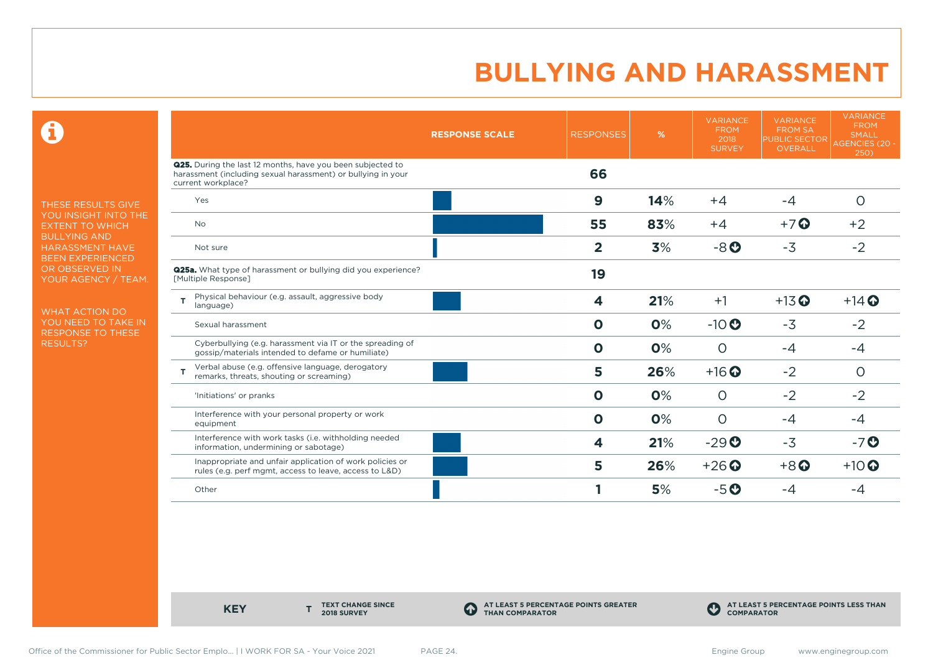$\mathbf \Theta$ 

THESE RESULTS GIVE YOU INSIGHT INTO THE EXTENT TO WHICH BULLYING AND HARASSMENT HAVE BEEN EXPERIENCED OR OBSERVED IN YOUR AGENCY / TEAM.

WHAT ACTION DO YOU NEED TO TAKE IN RESPONSE TO THESE RESULTS?

|                                                                                                                                                         | <b>RESPONSE SCALE</b> | <b>RESPONSES</b> | %   | <b>VARIANCE</b><br><b>FROM</b><br>2018<br><b>SURVEY</b> | <b>VARIANCE</b><br><b>FROM SA</b><br><b>PUBLIC SECTOR</b><br><b>OVERALL</b> | <b>VARIANCE</b><br><b>FROM</b><br><b>SMALL</b><br><b>AGENCIES (20 -</b><br>250) |
|---------------------------------------------------------------------------------------------------------------------------------------------------------|-----------------------|------------------|-----|---------------------------------------------------------|-----------------------------------------------------------------------------|---------------------------------------------------------------------------------|
| <b>Q25.</b> During the last 12 months, have you been subjected to<br>harassment (including sexual harassment) or bullying in your<br>current workplace? |                       | 66               |     |                                                         |                                                                             |                                                                                 |
| Yes                                                                                                                                                     |                       | $\boldsymbol{9}$ | 14% | $+4$                                                    | $-4$                                                                        | $\circ$                                                                         |
| No                                                                                                                                                      |                       | 55               | 83% | $+4$                                                    | $+7$ $\odot$                                                                | $+2$                                                                            |
| Not sure                                                                                                                                                |                       | $\overline{2}$   | 3%  | $-8o$                                                   | $-3$                                                                        | $-2$                                                                            |
| <b>Q25a.</b> What type of harassment or bullying did you experience?<br>[Multiple Response]                                                             |                       | 19               |     |                                                         |                                                                             |                                                                                 |
| Physical behaviour (e.g. assault, aggressive body<br>т<br>language)                                                                                     |                       | 4                | 21% | $+1$                                                    | $+13$ <sup>O</sup>                                                          | $+14$ $\odot$                                                                   |
| Sexual harassment                                                                                                                                       |                       | $\mathbf 0$      | 0%  | $-10$                                                   | $-3$                                                                        | $-2$                                                                            |
| Cyberbullying (e.g. harassment via IT or the spreading of<br>gossip/materials intended to defame or humiliate)                                          |                       | $\mathbf 0$      | 0%  | $\circ$                                                 | $-4$                                                                        | $-4$                                                                            |
| Verbal abuse (e.g. offensive language, derogatory<br>remarks, threats, shouting or screaming)                                                           |                       | 5                | 26% | $+16$ <sup>O</sup>                                      | $-2$                                                                        | $\circ$                                                                         |
| 'Initiations' or pranks                                                                                                                                 |                       | $\mathbf 0$      | 0%  | $\circ$                                                 | $-2$                                                                        | $-2$                                                                            |
| Interference with your personal property or work<br>equipment                                                                                           |                       | $\mathbf 0$      | 0%  | $\circ$                                                 | $-4$                                                                        | $-4$                                                                            |
| Interference with work tasks (i.e. withholding needed<br>information, undermining or sabotage)                                                          |                       | 4                | 21% | $-29$ <sup>O</sup>                                      | $-3$                                                                        | $-7o$                                                                           |
| Inappropriate and unfair application of work policies or<br>rules (e.g. perf mgmt, access to leave, access to L&D)                                      |                       | 5                | 26% | $+26$ $\odot$                                           | $+8$ <sup>O</sup>                                                           | $+10$                                                                           |
| Other                                                                                                                                                   |                       |                  | 5%  | $-5o$                                                   | -4                                                                          | -4                                                                              |

**KEY** 

**TEXT CHANGE SINCE 2018 SURVEY**

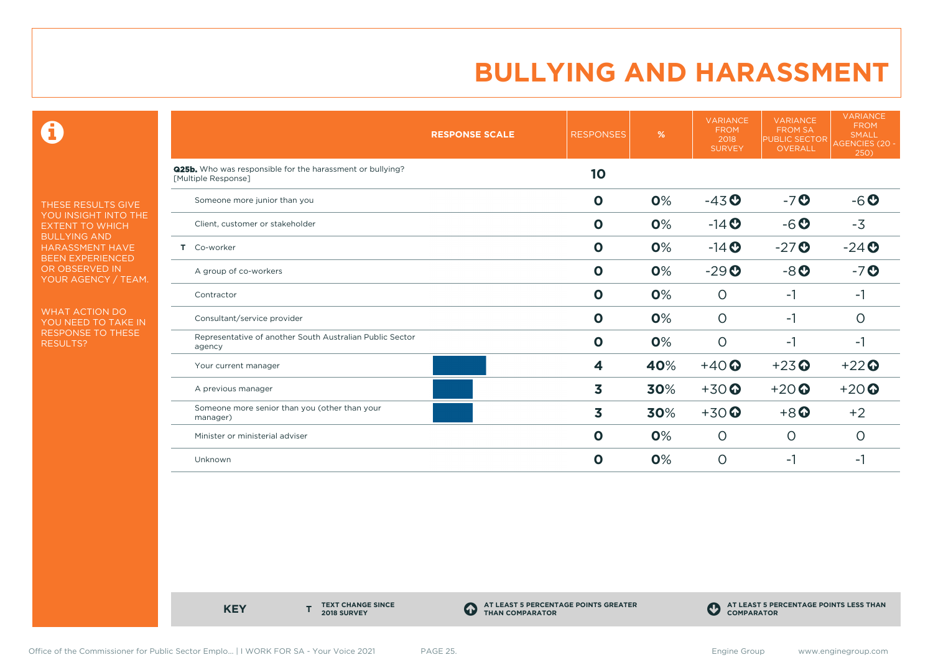$\mathbf \Theta$ 

THESE RESULTS GIVE YOU INSIGHT INTO THE EXTENT TO WHICH BULLYING AND HARASSMENT HAVE BEEN EXPERIENCED OR OBSERVED IN YOUR AGENCY / TEAM.

WHAT ACTION DO YOU NEED TO TAKE IN RESPONSE TO THESE RESULTS?

| <b>RESPONSE SCALE</b>                                                                   | <b>RESPONSES</b> | %   | <b>VARIANCE</b><br><b>FROM</b><br>2018<br><b>SURVEY</b> | <b>VARIANCE</b><br><b>FROM SA</b><br><b>PUBLIC SECTOR</b><br><b>OVERALL</b> | <b>VARIANCE</b><br><b>FROM</b><br><b>SMALL</b><br>AGENCIES (20 -<br>250) |
|-----------------------------------------------------------------------------------------|------------------|-----|---------------------------------------------------------|-----------------------------------------------------------------------------|--------------------------------------------------------------------------|
| <b>Q25b.</b> Who was responsible for the harassment or bullying?<br>[Multiple Response] | 10               |     |                                                         |                                                                             |                                                                          |
| Someone more junior than you                                                            | $\mathbf 0$      | 0%  | $-43o$                                                  | $-7o$                                                                       | $-6o$                                                                    |
| Client, customer or stakeholder                                                         | $\mathbf 0$      | 0%  | $-14$ $\odot$                                           | $-6o$                                                                       | $-3$                                                                     |
| T Co-worker                                                                             | $\mathbf 0$      | 0%  | $-14$ <b>O</b>                                          | $-27$                                                                       | $-24$                                                                    |
| A group of co-workers                                                                   | $\mathbf 0$      | 0%  | $-29$ <sup>O</sup>                                      | $-8o$                                                                       | $-7o$                                                                    |
| Contractor                                                                              | $\mathbf{o}$     | 0%  | $\circ$                                                 | $-1$                                                                        | $-1$                                                                     |
| Consultant/service provider                                                             | $\mathbf 0$      | 0%  | $\circ$                                                 | $-1$                                                                        | $\circ$                                                                  |
| Representative of another South Australian Public Sector<br>agency                      | $\mathbf{o}$     | 0%  | $\circ$                                                 | $-1$                                                                        | $-1$                                                                     |
| Your current manager                                                                    | 4                | 40% | $+40$                                                   | $+23$ <sup>O</sup>                                                          | $+22$                                                                    |
| A previous manager                                                                      | 3                | 30% | $+30$ <sup>O</sup>                                      | $+20$                                                                       | $+20$                                                                    |
| Someone more senior than you (other than your<br>manager)                               | 3                | 30% | $+30$ <sup>O</sup>                                      | $+8$ <sup>O</sup>                                                           | $+2$                                                                     |
| Minister or ministerial adviser                                                         | $\mathbf 0$      | 0%  | $\circ$                                                 | $\circ$                                                                     | $\circ$                                                                  |
| Unknown                                                                                 | $\mathbf 0$      | 0%  | $\circ$                                                 | $-1$                                                                        | -1                                                                       |

**KEY** 

**TEXT CHANGE SINCE 2018 SURVEY**

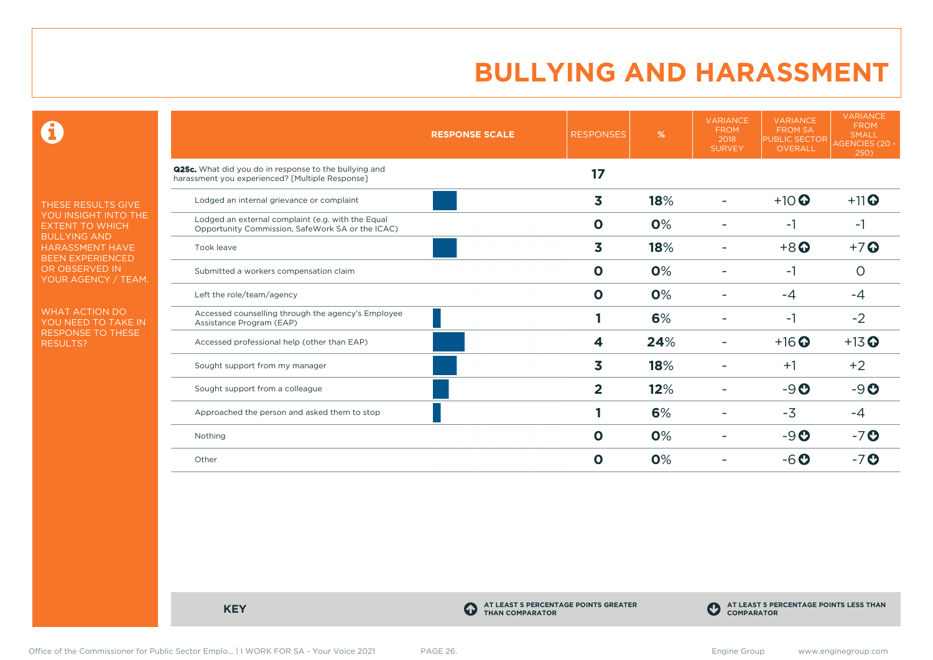$\mathbf \Theta$ 

THESE RESULTS GIVE YOU INSIGHT INTO THE EXTENT TO WHICH BULLYING AND HARASSMENT HAVE BEEN EXPERIENCED OR OBSERVED IN YOUR AGENCY / TEAM.

WHAT ACTION DO YOU NEED TO TAKE IN RESPONSE TO THESE RESULTS?

|                                                                                                                 | <b>RESPONSE SCALE</b> | <b>RESPONSES</b>        | %   | <b>VARIANCE</b><br><b>FROM</b><br>2018<br><b>SURVEY</b> | <b>VARIANCE</b><br><b>FROM SA</b><br><b>PUBLIC SECTOR</b><br>OVERALL | <b>VARIANCE</b><br><b>FROM</b><br><b>SMALL</b><br>AGENCIES (20 -<br>250) |
|-----------------------------------------------------------------------------------------------------------------|-----------------------|-------------------------|-----|---------------------------------------------------------|----------------------------------------------------------------------|--------------------------------------------------------------------------|
| <b>Q25c.</b> What did you do in response to the bullying and<br>harassment you experienced? [Multiple Response] |                       | 17                      |     |                                                         |                                                                      |                                                                          |
| Lodged an internal grievance or complaint                                                                       |                       | 3                       | 18% |                                                         | $+10$ <sup>O</sup>                                                   | $+11$                                                                    |
| Lodged an external complaint (e.g. with the Equal<br>Opportunity Commission, SafeWork SA or the ICAC)           |                       | $\mathbf 0$             | 0%  |                                                         | $-1$                                                                 | $-1$                                                                     |
| Took leave                                                                                                      |                       | 3                       | 18% |                                                         | $+8$ <sup>O</sup>                                                    | $+7$                                                                     |
| Submitted a workers compensation claim                                                                          |                       | $\mathbf 0$             | 0%  |                                                         | -1                                                                   | $\Omega$                                                                 |
| Left the role/team/agency                                                                                       |                       | $\mathbf 0$             | 0%  |                                                         | $-4$                                                                 | $-4$                                                                     |
| Accessed counselling through the agency's Employee<br>Assistance Program (EAP)                                  |                       |                         | 6%  |                                                         | $-1$                                                                 | $-2$                                                                     |
| Accessed professional help (other than EAP)                                                                     |                       | 4                       | 24% |                                                         | $+16$ <sup>O</sup>                                                   | $+13$ <sup>O</sup>                                                       |
| Sought support from my manager                                                                                  |                       | 3                       | 18% |                                                         | $+1$                                                                 | $+2$                                                                     |
| Sought support from a colleague                                                                                 |                       | $\overline{\mathbf{2}}$ | 12% |                                                         | $-9O$                                                                | $-9O$                                                                    |
| Approached the person and asked them to stop                                                                    |                       |                         | 6%  |                                                         | $-3$                                                                 | -4                                                                       |
| Nothing                                                                                                         |                       | $\mathbf 0$             | 0%  |                                                         | $-9O$                                                                | $-7o$                                                                    |
| Other                                                                                                           |                       | $\mathbf 0$             | 0%  |                                                         | $-6o$                                                                | $-7$ $\odot$                                                             |

**KEY C** 

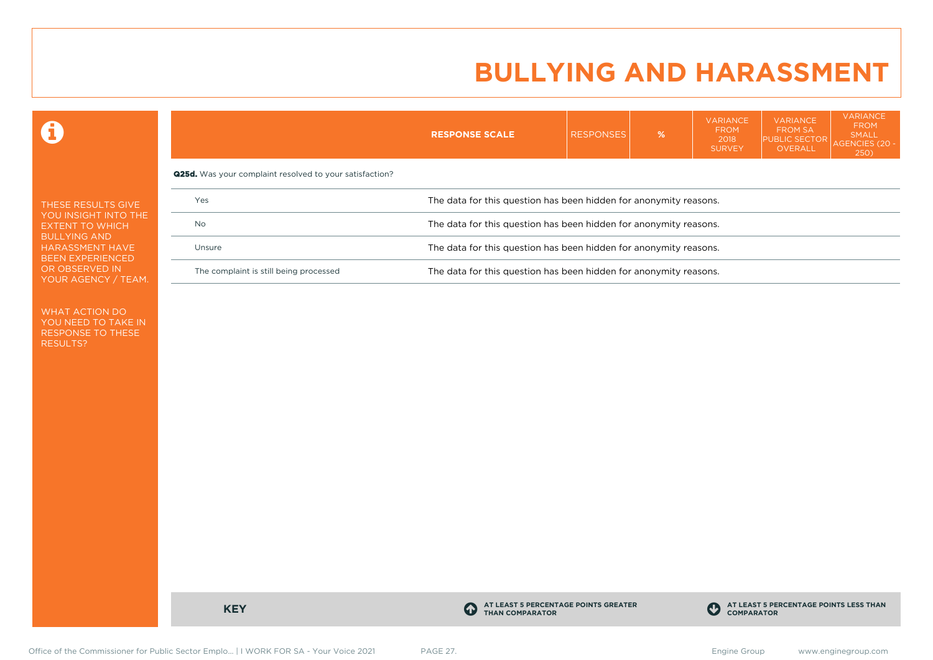VARIANCE

VARIANCE

**VARIANCE** 

 $\mathbf \Omega$ 

| <b>FROM SA</b><br><b>PUBLIC SECTOR</b><br>OVERALL                 | <b>SMALL</b><br>AGENCIES (20 -<br><b>250</b> |  |  |  |  |  |  |
|-------------------------------------------------------------------|----------------------------------------------|--|--|--|--|--|--|
|                                                                   |                                              |  |  |  |  |  |  |
| The data for this question has been hidden for anonymity reasons. |                                              |  |  |  |  |  |  |
| The data for this question has been hidden for anonymity reasons. |                                              |  |  |  |  |  |  |
| The data for this question has been hidden for anonymity reasons. |                                              |  |  |  |  |  |  |
| The data for this question has been hidden for anonymity reasons. |                                              |  |  |  |  |  |  |
|                                                                   |                                              |  |  |  |  |  |  |

WHAT ACTION DO YOU NEED TO TAKE IN RESPONSE TO THESE RESULTS?

**KEY C** 

**AT LEAST 5 PERCENTAGE POINTS GREATER THAN COMPARATOR**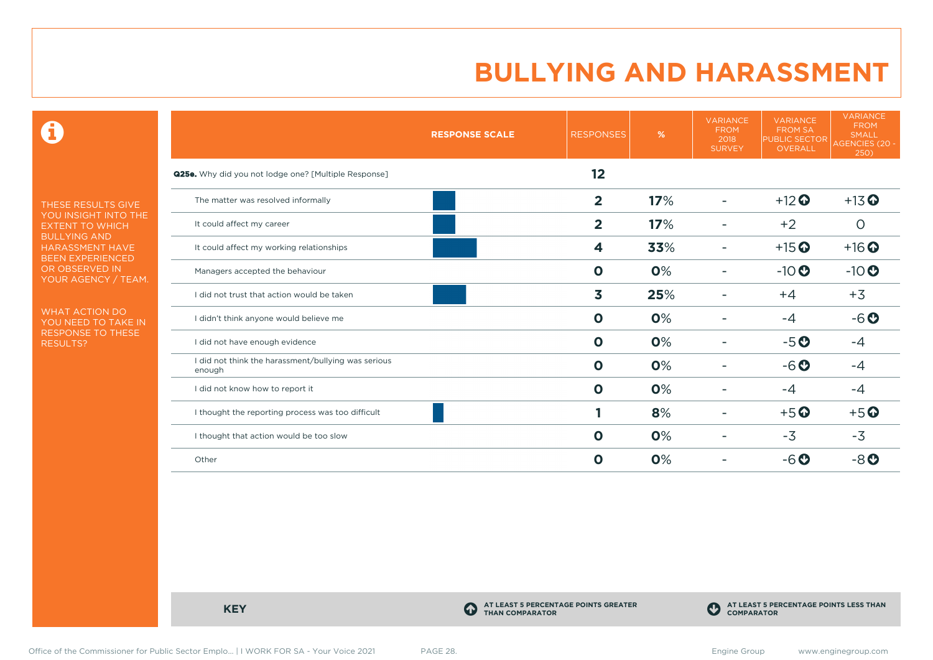$\mathbf \Theta$ 

THESE RESULTS GIVE YOU INSIGHT INTO THE EXTENT TO WHICH BULLYING AND HARASSMENT HAVE BEEN EXPERIENCED OR OBSERVED IN YOUR AGENCY / TEAM.

WHAT ACTION DO YOU NEED TO TAKE IN RESPONSE TO THESE RESULTS?

|                                                               | <b>RESPONSE SCALE</b> | <b>RESPONSES</b> | %   | <b>VARIANCE</b><br><b>FROM</b><br>2018<br><b>SURVEY</b> | <b>VARIANCE</b><br><b>FROM SA</b><br><b>PUBLIC SECTOR</b><br>OVERALL | <b>VARIANCE</b><br><b>FROM</b><br>SMALL<br>AGENCIES (20 -<br>250) |
|---------------------------------------------------------------|-----------------------|------------------|-----|---------------------------------------------------------|----------------------------------------------------------------------|-------------------------------------------------------------------|
| <b>Q25e.</b> Why did you not lodge one? [Multiple Response]   |                       | 12               |     |                                                         |                                                                      |                                                                   |
| The matter was resolved informally                            |                       | $\overline{2}$   | 17% |                                                         | $+12$ <sup>O</sup>                                                   | $+13$ <sup>O</sup>                                                |
| It could affect my career                                     |                       | $\overline{2}$   | 17% |                                                         | $+2$                                                                 | $\circ$                                                           |
| It could affect my working relationships                      |                       | 4                | 33% | -                                                       | $+15$ <sup>O</sup>                                                   | $+16$ <sup>O</sup>                                                |
| Managers accepted the behaviour                               |                       | $\mathbf 0$      | 0%  |                                                         | $-10$                                                                | $-10$                                                             |
| I did not trust that action would be taken                    |                       | 3                | 25% |                                                         | $+4$                                                                 | $+3$                                                              |
| I didn't think anyone would believe me                        |                       | $\mathbf 0$      | 0%  |                                                         | $-4$                                                                 | $-6o$                                                             |
| I did not have enough evidence                                |                       | $\mathbf 0$      | 0%  |                                                         | $-5o$                                                                | $-4$                                                              |
| I did not think the harassment/bullying was serious<br>enough |                       | O                | 0%  |                                                         | $-6o$                                                                | $-4$                                                              |
| I did not know how to report it                               |                       | $\mathbf 0$      | 0%  |                                                         | $-4$                                                                 | -4                                                                |
| I thought the reporting process was too difficult             |                       |                  | 8%  | -                                                       | $+5o$                                                                | $+5$ <sup>O</sup>                                                 |
| I thought that action would be too slow                       |                       | $\mathbf 0$      | 0%  |                                                         | $-3$                                                                 | $-3$                                                              |
| Other                                                         |                       | O                | 0%  |                                                         | $-6o$                                                                | $-8o$                                                             |

**KEY C** 

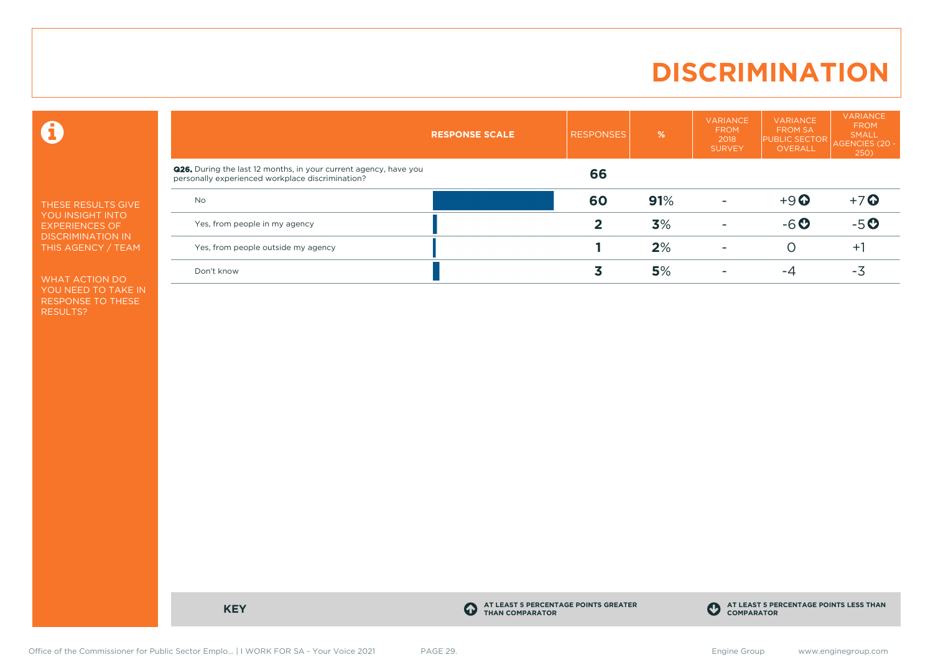### **DISCRIMINATION**

 $\mathbf \Theta$ 

THESE RESULTS GIVE YOU INSIGHT INTO EXPERIENCES OF DISCRIMINATION IN THIS AGENCY / TEAM

WHAT ACTION DO YOU NEED TO TAKE IN RESPONSE TO THESE RESULTS?

|                                                                                                                             | <b>RESPONSE SCALE</b> | <b>RESPONSES</b> | %   | <b>VARIANCE</b><br><b>FROM</b><br>2018<br><b>SURVEY</b> | <b>VARIANCE</b><br><b>FROM SA</b><br><b>PUBLIC SECTOR</b><br>OVERALL | VARIANCE<br><b>FROM</b><br><b>SMALL</b><br>AGENCIES (20 -<br>250) |
|-----------------------------------------------------------------------------------------------------------------------------|-----------------------|------------------|-----|---------------------------------------------------------|----------------------------------------------------------------------|-------------------------------------------------------------------|
| <b>Q26.</b> During the last 12 months, in your current agency, have you<br>personally experienced workplace discrimination? |                       | 66               |     |                                                         |                                                                      |                                                                   |
| <b>No</b>                                                                                                                   |                       | 60               | 91% |                                                         | $+9$ $\odot$                                                         | $+7$ $\odot$                                                      |
| Yes, from people in my agency                                                                                               |                       |                  | 3%  |                                                         | $-6o$                                                                | $-5o$                                                             |
| Yes, from people outside my agency                                                                                          |                       |                  | 2%  |                                                         | O                                                                    | $+$                                                               |
| Don't know                                                                                                                  |                       |                  | 5%  |                                                         | -4                                                                   | -3                                                                |
|                                                                                                                             |                       |                  |     |                                                         |                                                                      |                                                                   |

**KEY C** 

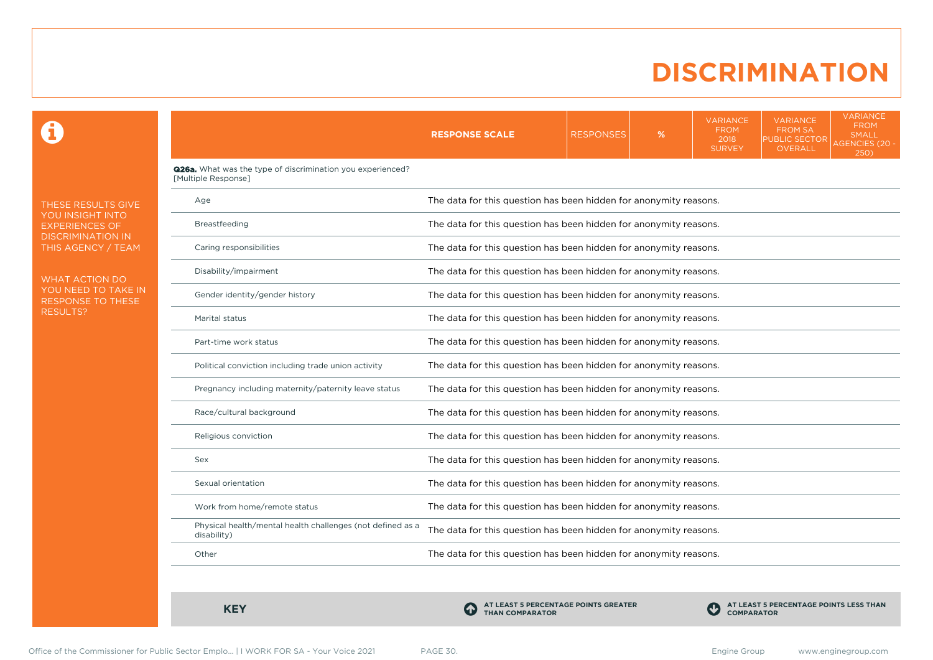### **DISCRIMINATION**

0

THESE RESULTS GIVE YOU INSIGHT INTO EXPERIENCES OF DISCRIMINATION IN THIS AGENCY / TEAM

WHAT ACTION DO YOU NEED TO TAKE IN RESPONSE TO THESE RESULTS?

|                                                                                          | <b>RESPONSE SCALE</b>                                             | <b>RESPONSES</b>                                                  | % | <b>VARIANCE</b><br><b>FROM</b><br>2018<br><b>SURVEY</b> | <b>VARIANCE</b><br><b>FROM SA</b><br><b>PUBLIC SECTOR</b><br><b>OVERALL</b> | <b>VARIANCE</b><br><b>FROM</b><br><b>SMALL</b><br><b>AGENCIES (20 -</b><br>250) |  |  |  |  |
|------------------------------------------------------------------------------------------|-------------------------------------------------------------------|-------------------------------------------------------------------|---|---------------------------------------------------------|-----------------------------------------------------------------------------|---------------------------------------------------------------------------------|--|--|--|--|
| <b>Q26a.</b> What was the type of discrimination you experienced?<br>[Multiple Response] |                                                                   |                                                                   |   |                                                         |                                                                             |                                                                                 |  |  |  |  |
| Age                                                                                      |                                                                   | The data for this question has been hidden for anonymity reasons. |   |                                                         |                                                                             |                                                                                 |  |  |  |  |
| Breastfeeding                                                                            |                                                                   | The data for this question has been hidden for anonymity reasons. |   |                                                         |                                                                             |                                                                                 |  |  |  |  |
| Caring responsibilities                                                                  |                                                                   | The data for this question has been hidden for anonymity reasons. |   |                                                         |                                                                             |                                                                                 |  |  |  |  |
| Disability/impairment                                                                    |                                                                   | The data for this question has been hidden for anonymity reasons. |   |                                                         |                                                                             |                                                                                 |  |  |  |  |
| Gender identity/gender history                                                           |                                                                   | The data for this question has been hidden for anonymity reasons. |   |                                                         |                                                                             |                                                                                 |  |  |  |  |
| Marital status                                                                           |                                                                   | The data for this question has been hidden for anonymity reasons. |   |                                                         |                                                                             |                                                                                 |  |  |  |  |
| Part-time work status                                                                    |                                                                   | The data for this question has been hidden for anonymity reasons. |   |                                                         |                                                                             |                                                                                 |  |  |  |  |
| Political conviction including trade union activity                                      | The data for this question has been hidden for anonymity reasons. |                                                                   |   |                                                         |                                                                             |                                                                                 |  |  |  |  |
| Pregnancy including maternity/paternity leave status                                     |                                                                   | The data for this question has been hidden for anonymity reasons. |   |                                                         |                                                                             |                                                                                 |  |  |  |  |
| Race/cultural background                                                                 | The data for this question has been hidden for anonymity reasons. |                                                                   |   |                                                         |                                                                             |                                                                                 |  |  |  |  |
| Religious conviction                                                                     |                                                                   | The data for this question has been hidden for anonymity reasons. |   |                                                         |                                                                             |                                                                                 |  |  |  |  |
| Sex                                                                                      |                                                                   | The data for this question has been hidden for anonymity reasons. |   |                                                         |                                                                             |                                                                                 |  |  |  |  |
| Sexual orientation                                                                       | The data for this question has been hidden for anonymity reasons. |                                                                   |   |                                                         |                                                                             |                                                                                 |  |  |  |  |
| Work from home/remote status                                                             | The data for this question has been hidden for anonymity reasons. |                                                                   |   |                                                         |                                                                             |                                                                                 |  |  |  |  |
| Physical health/mental health challenges (not defined as a<br>disability)                | The data for this question has been hidden for anonymity reasons. |                                                                   |   |                                                         |                                                                             |                                                                                 |  |  |  |  |
| Other                                                                                    | The data for this question has been hidden for anonymity reasons. |                                                                   |   |                                                         |                                                                             |                                                                                 |  |  |  |  |
|                                                                                          |                                                                   |                                                                   |   |                                                         |                                                                             |                                                                                 |  |  |  |  |

**KEY C** 

**AT LEAST 5 PERCENTAGE POINTS GREATER THAN COMPARATOR**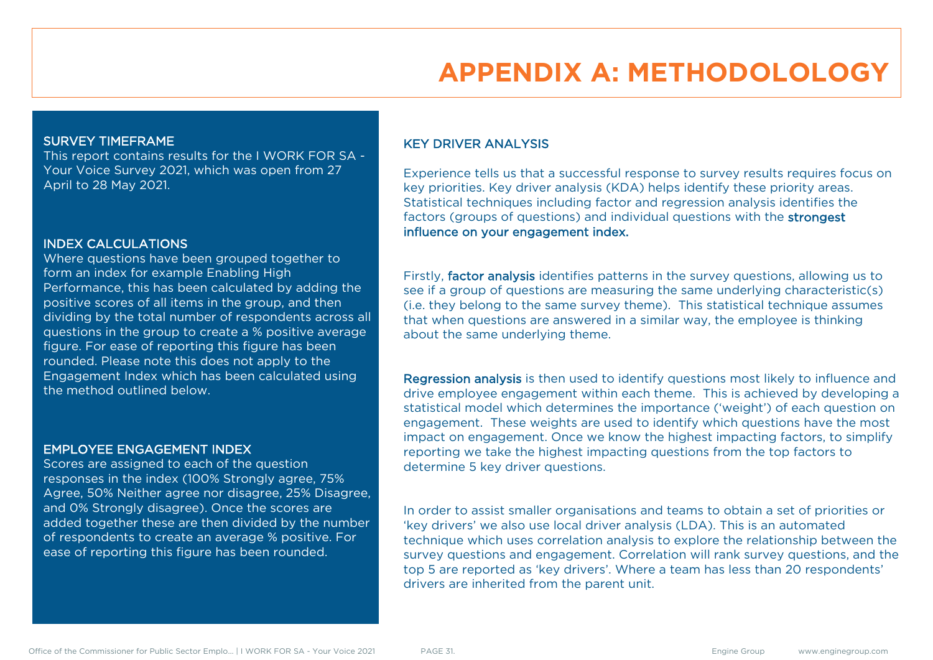# **APPENDIX A: METHODOLOLOGY**

#### SURVEY TIMEFRAME

This report contains results for the I WORK FOR SA - Your Voice Survey 2021, which was open from 27 April to 28 May 2021.

#### INDEX CALCULATIONS

Where questions have been grouped together to form an index for example Enabling High Performance, this has been calculated by adding the positive scores of all items in the group, and then dividing by the total number of respondents across all questions in the group to create a % positive average figure. For ease of reporting this figure has been rounded. Please note this does not apply to the Engagement Index which has been calculated using the method outlined below.

#### EMPLOYEE ENGAGEMENT INDEX

Scores are assigned to each of the question responses in the index (100% Strongly agree, 75% Agree, 50% Neither agree nor disagree, 25% Disagree, and 0% Strongly disagree). Once the scores are added together these are then divided by the number of respondents to create an average % positive. For ease of reporting this figure has been rounded.

#### KEY DRIVER ANALYSIS

Experience tells us that a successful response to survey results requires focus on key priorities. Key driver analysis (KDA) helps identify these priority areas. Statistical techniques including factor and regression analysis identifies the factors (groups of questions) and individual questions with the strongest influence on your engagement index.

Firstly, factor analysis identifies patterns in the survey questions, allowing us to see if a group of questions are measuring the same underlying characteristic(s) (i.e. they belong to the same survey theme). This statistical technique assumes that when questions are answered in a similar way, the employee is thinking about the same underlying theme.

Regression analysis is then used to identify questions most likely to influence and drive employee engagement within each theme. This is achieved by developing a statistical model which determines the importance ('weight') of each question on engagement. These weights are used to identify which questions have the most impact on engagement. Once we know the highest impacting factors, to simplify reporting we take the highest impacting questions from the top factors to determine 5 key driver questions.

In order to assist smaller organisations and teams to obtain a set of priorities or 'key drivers' we also use local driver analysis (LDA). This is an automated technique which uses correlation analysis to explore the relationship between the survey questions and engagement. Correlation will rank survey questions, and the top 5 are reported as 'key drivers'. Where a team has less than 20 respondents' drivers are inherited from the parent unit.